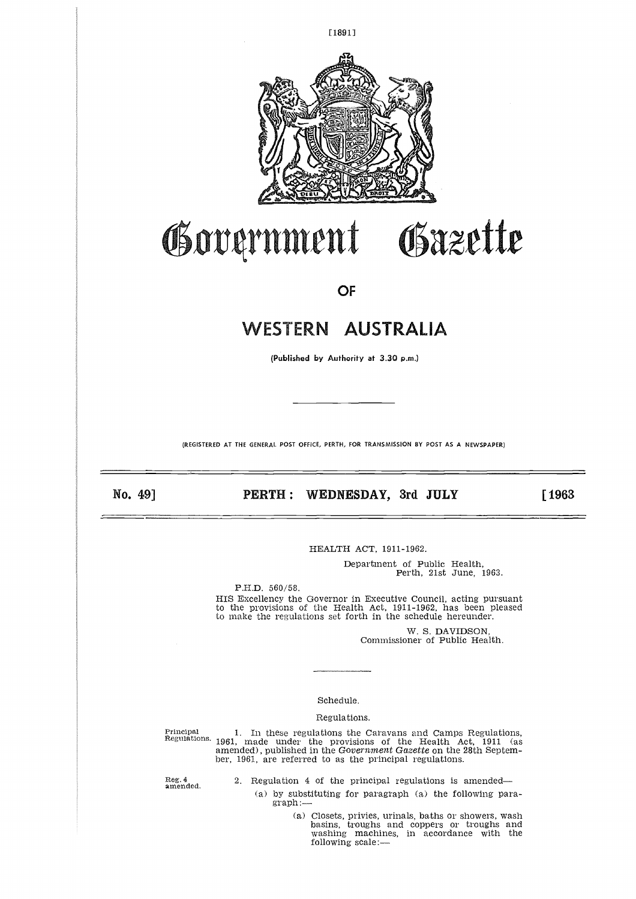

# Government Gazette

**OF** 

# WESTERN AUSTRALIA

**(Published** by Authority at 3.30 p.m.)

(REGISTERED AT THE GENERAL POST OFFICE, PERTH, FOR TRANSMISSION BY POST AS A NEWSPAPER)

No. 49]

# **PERTH : WEDNESDAY, 3rd JULY [1963**

HEALTH ACT, 1911-1962.

Department of Public Health, Perth, 21st June, 1963.

P.H.D. 560/58. HIS Excellency the Governor in Executive Council, acting pursuant to the provisions of the Health Act, 1911-1962, has been pleased to make the regulations set forth in the schedule hereunder.

> W. S. DAVIDSON, Commissioner of Public Health.

#### Schedule.

#### Regulations.

Examples of Public Health<br>
Schedule<br>
Principal Schedule.<br>
Regulations the Caravans and Camps Regulations.<br>
Principal 1. In these regulations the Caravans and Camps Regulations.<br>
Regulations.<br>
1961, made under the provision Regulations. 1961, made under the provisions of the Health Act, 1911 (as amended), published in the *Government Gazette* on the 28th September, 1961, are referred to as the principal regulations.

Reg. 4 amended.

- 2. Regulation 4 of the principal regulations is amended
	- (a) by substituting for paragraph (a) the following paragraph:
		- (a) Closets, privies, urinals, baths or showers, wash basins, troughs and coppers or troughs and washing machines, in accordance with the following scale:—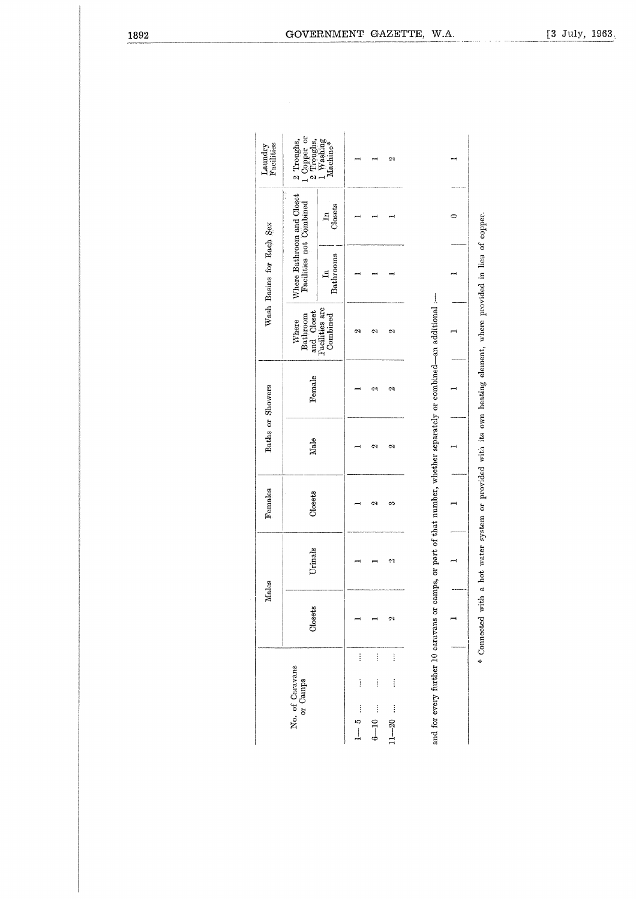| Laundry<br>Pacilities    | 1 Copper or<br>2 Troughs,<br>1 Washing<br>Machine*<br>Troughs,<br>್ಷ |                            |                               |                                             | Ç.                              |                                                                                                                      |           |
|--------------------------|----------------------------------------------------------------------|----------------------------|-------------------------------|---------------------------------------------|---------------------------------|----------------------------------------------------------------------------------------------------------------------|-----------|
|                          |                                                                      | Closets<br>$\mathbf{g}$    |                               |                                             |                                 |                                                                                                                      | $\bullet$ |
| Wash Basins for Each Sex | Where Bathroom and Closet<br>Facilities not Combined                 | Bathrooms<br>$\mathbf{H}$  |                               |                                             |                                 |                                                                                                                      |           |
|                          | and Closet<br>Bathroom<br>Where                                      | Facilities are<br>Combined | 6Ñ,                           | U                                           | S)                              |                                                                                                                      |           |
|                          | Female                                                               |                            |                               | C)                                          | C)                              |                                                                                                                      |           |
| Baths or Showers         | Male                                                                 |                            |                               | Z                                           | C)                              |                                                                                                                      |           |
| Females                  | Closets                                                              |                            |                               | ø                                           | S                               |                                                                                                                      |           |
| Males                    | Urinals                                                              |                            |                               |                                             | ¢٤                              |                                                                                                                      |           |
|                          | Closets                                                              |                            |                               |                                             | ç,                              |                                                                                                                      |           |
|                          | No. of Caravans<br>or Camps                                          |                            | $\vdots$<br>i<br>į<br>$1 - 5$ | $\vdots$<br>į<br>$\ddot{\cdot}$<br>$6 - 10$ | $\vdots$<br>$\vdots$<br>$11-20$ | and for every further 10 caravans or camps, or part of that number, whether separately or combined—an additional :-- |           |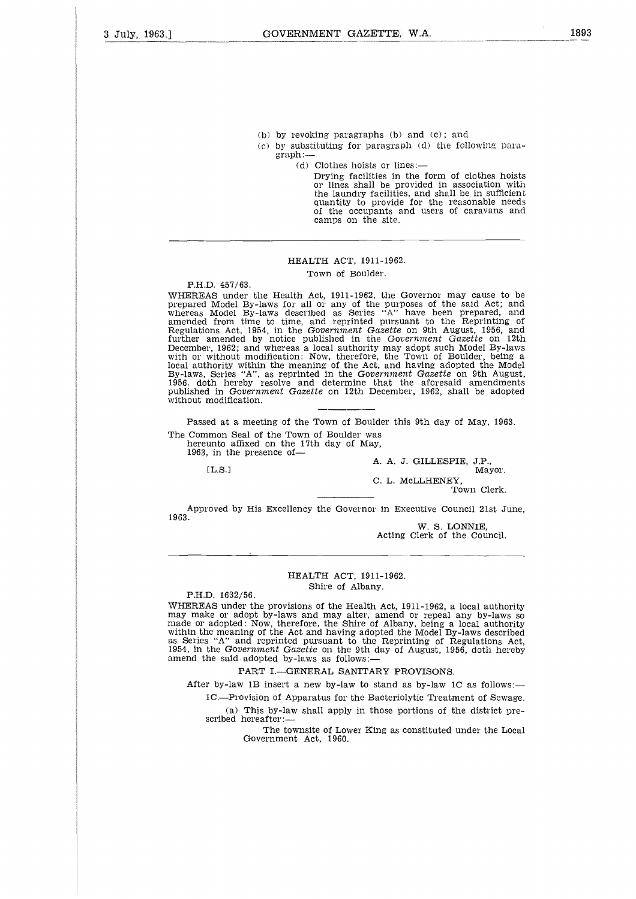- (b) by revoking paragraphs (b) and (c); and
- (c) by substituting for paragraph (d) the following paragraph:—
	- (d) Clothes hoists or lines:

Drying facilities in the form of clothes hoists or lines shall be provided in association with the laundry facilities, and shall be in sufficient quantity to provide for the reasonable needs of the occupants and users of caravans and camps on the site.

#### HEALTH ACT, 1911-1962.

Town of Boulder.

P.H.D. 457/63.

WHEREAS under the Health Act, 1911-1962, the Governor may cause to be prepared Model By-laws for all or any of the purposes of the said Act; and whereas Model By-laws described as Series "A" have been prepared, and amended from time to time, and reprinted pursuant to the Reprinting of Regulations Act, 1954, in the *Government Gazette* on 9th August, 1956, and further amended by notice published in the *Government Gazette* on 12th December, 1962; and whereas a local authority may adopt such Model By-laws with or without modification: Now, therefore, the Town of Boulder, being a local authority within the meaning of the Act, and having adopted the Model<br>By-laws, Series "A", as reprinted in the Gov*ernment Gazette* on 9th August<br>1956, doth hereby resolve and determine that the aforesaid amendments published in *Government Gazette* on 12th December, 1962, shall be adopted without modification. amended by notice published in the Government Gazette on<br>
r, 1962; and whereas a local authority my adopt such Model By-<br>
without modification: Now, therefore, the Town of Boulder, belincity within the meaning of the Act,

Passed at a meeting of the Town of Boulder this 9th day of May, 1963. The Common Seal of the Town of Boulder was

hereunto affixed on the 17th day of May,

1963, in the presence of

A. A. J. GILLESPIE, J.P.,

C. L. McLLHENEY,

Town Clerk.

Approved by His Excellency the Governor in Executive Council 21st June, 1963.

W. S. LONNIE, Acting Clerk of the Council.

#### HEALTH ACT, 1911-1962. Shire of Albany.

P.H.D. 1632/56.

WHEREAS under the provisions of the Health Act, 1911-1962, a local authority may make or adopt by-laws and may alter, amend or repeal any by-laws so made or adopted: Now, therefore, the Shire of Albany, being a local authority<br>within the meaning of the Act and having adopted the Model By-laws described<br>as Series "A" and reprinted pursuant to the Reprinting of Regulatio 1954, in the *Government Gazette* on the 9th day of August, 1956, doth hereby amend the said adopted by-laws as follows:

PART I.—GENERAL SANITARY PROVISONS.

After by-law 1B insert a new by-law to stand as by-law 1C as follows:-

1C.—Provision of Apparatus for the Bacteriolytic Treatment of Sewage.

(a) This by-law shall apply in those portions of the district prescribed hereafter:

The townsite of Lower King as constituted under the Local Government Act, 1960.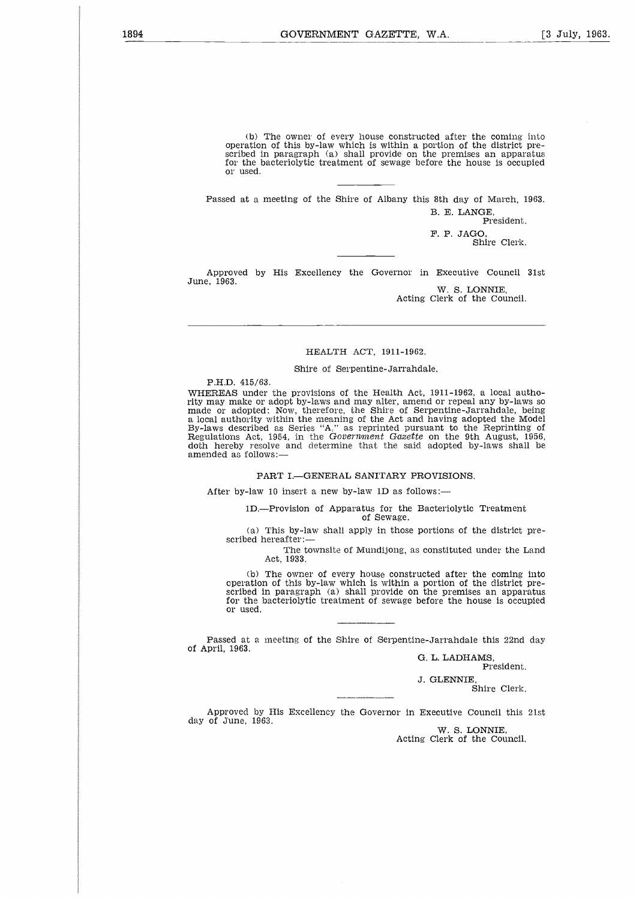(b) The owner of every house constructed after the coming into operation of this by-law which is within a portion of the district prescribed in paragraph (a) shall provide on the premises an apparatus for the bacteriolytic treatment of sewage before the house is occupied or used.

Passed at a meeting of the Shire of Albany this 8th day of March, 1963. B. E. LANGE,

President.

F. P. JAGO, Shire Clerk.

Approved by His Excellency the Governor in Executive Council 31st June, 1963. W. S. LONNIE,

Acting Clerk of the Council.

#### HEALTH ACT, 1911-1962.

#### Shire of Serpentine-Jarrandale.

P.H.D. 415/63.

WHEREAS under the provisions of the Health Act, 1911-1962, a local authority may make or adopt by-laws and may alter, amend or repeal any by-laws so made or adopted: Now, therefore, the Shire of Serpentine-Jarrandale, being a local authority within the meaning of the Act and having adopted the Model By-laws described as Series "A," as reprinted pursuant to the Reprinting of Regulations Act, 1954, in the *Government Gazette* on the 9th August, 1956, doth hereby resolve and determine that the said adopted by-laws shall be amended as follows:—

#### PART I.—GENERAL SANITARY PROVISIONS.

After by-law 10 insert a new by-law 1D as follows:-

1D.—Provision of Apparatus for the Bacteriolytic Treatment of Sewage.

(a) This by-law shall apply in those portions of the district prescribed hereafter:

> The townsite of Mundijong, as constituted under the Land Act, 1933.

(b) The owner of every house constructed after the coming into operation of this by-law which is within a portion of the district prescribed in paragraph (a) shall provide on the premises an apparatus for the bacteriolytic treatment of sewage before the house is occupied or used.

Passed at a meeting of the Shire of Serpentine-Jarrandale this 22nd day of April, 1963.

G. L. LADHAMS, President.

J. GLENNIE, Shire Clerk.

Approved by His Excellency the Governor in Executive Council this 21st day of June, 1963.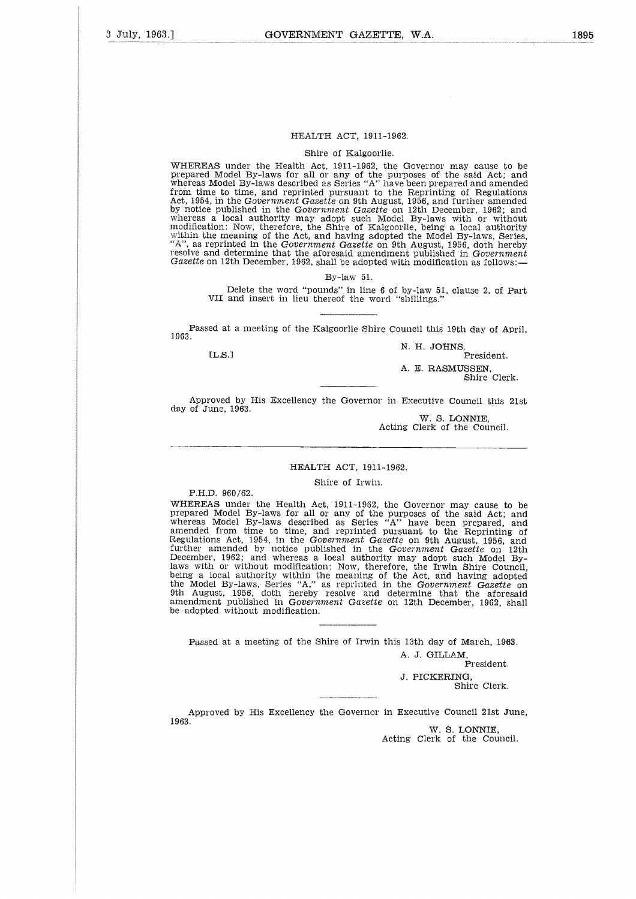#### HEALTH ACT, 1911-1962.

#### Shire of Kalgoorlie.

WHEREAS under the Health Act, 1911-1962, the Governor may cause to be prepared Model By-laws for all or any of the purposes of the said Act; and whereas Model By-laws described as Series "A" have been prepared and amended from time to time, and reprinted pursuant to the Reprinting of Regulations Act, 1954, in the *Government Gazette* on 9th August, 1956, and further amended by notice published in the *Government Gazette* on 12th December, 1962; and whereas a local authority may adopt such Model By-laws with or without modification: Now, therefore, the Shire of Kalgoorlie, being a local authority within the meaning of the Act, and having adopted the Model By-laws, Series, "A", as reprinted in the *Government Gazette* on 9th August, 1956, doth hereby resolve and determine that the aforesaid amendment published in *Government Gazette* on 12th December, 1962, shall be adopted with modification as follows:— EL,SJ 

By-law 51.

Delete the word "pounds" in line 6 of by-law 51, clause 2, of Part VII and insert in lieu thereof the word "shillings."

Passed at a meeting of the Kalgoorlie Shire Council this 19th day of April, 1963.

 $LLS.1$ 

N. H. JOHNS, President. A. E. RASMUSSEN, Shire Clerk.

Approved by His Excellency the Governor in Executive Council this 21st day of June, 1963.

W. S. LONNIE, Acting Clerk of the Council.

#### HEALTH ACT, 1911-1962.

#### Shire of Irwin.

P.H.D. 960/62.

WHEREAS under the Health Act, 1911-1962, the Governor may cause to be prepared Model By-laws for all or any of the purposes of the said Act; and whereas Model By-laws described as Series "A" have been prepared, and amended from time to time, and reprinted pursuant to the Reprinting of Regulations Act, 1954, in the *Government Gazette* on 9th August, 1956, and further amended by notice published in the *Government Gazette* on 12th December, 1962; and whereas a local authority may adopt such Model Bylaws with or without modification: Now, therefore, the Irwin Shire Council, being a local authority within the meaning of the Act, and having adopted the Model By-laws, Series "A," as reprinted in the *Government Gazette* on 9th August, 1956, doth hereby resolve and determine that the aforesaid amendment published in *Government Gazette* on 12th December, 1962, shall be adopted without modification.

Passed at a meeting of the Shire of Irwin this 13th day of March, 1963.

A. *J.* GILLAM, President. *J.* PICKERING, Shire Clerk.

Approved by His Excellency the Governor in Executive Council 21st June, 1963.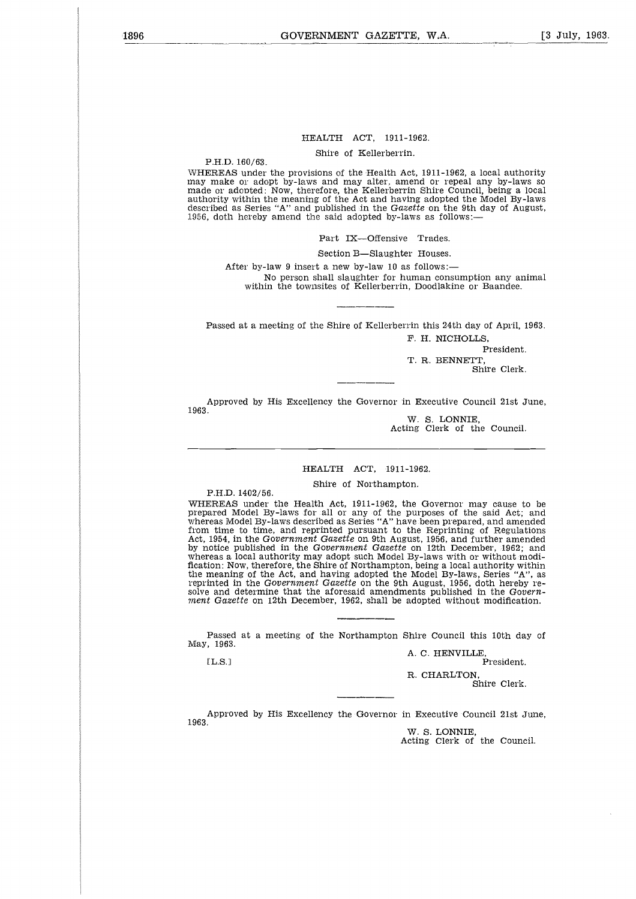#### HEALTH ACT, 1911-1962.

Shire of Kellerberrin.

P.H.D. 160/63.

WHEREAS under the provisions of the Health Act, 1911-1962, a local authority may make or adopt by-laws and may alter, amend or repeal any by-laws so made or adopted: Now, therefore, the Kellerberrin Shire Council, being a local authority within the meaning of the Act and having adopted the Model By-laws described as Series "A" and published in the *Gazette* on the 9th day of August, 1956, doth hereby amend the said adopted by-laws as follows:—

Part IX—Offensive Trades.

Section B—Slaughter Houses.

After by-law 9 insert a new by-law 10 as follows: No person shall slaughter for human consumption any animal within the townsites of Kellerberrin, Doodlakine or Baandee.

Passed at a meeting of the Shire of Kellerberrin this 24th day of April, 1963. F. H. NICHOLLS,

President.

T. R. BENNETT, Shire Clerk.

Approved by His Excellency the Governor in Executive Council 21st June, 1963.

W. S. LONNIE, Acting Clerk of the Council.

### HEALTH ACT, 1911-1962.

Shire of Northampton.

P.H.D. 1402/56.

WHEREAS under the Health Act, 1911-1962, the Governor may cause to be prepared Model By-laws for all or any of the purposes of the said Act; and whereas Model By-laws described as Series "A" have been prepared, and amended from time to time, and reprinted pursuant to the Reprinting of Regulations Act, 1954, in the *Government Gazette* on 9th August, 1956, and further amended by notice published in the *Government Gazette* on 12th December, 1962; and whereas a local authority may adopt such Model By-laws with or without modification: Now, therefore, the Shire of Northampton, being a local authority within the meaning of the Act, and having adopted the Model By-laws, Series "A", as reprinted in the *Government Gazette* on the 9th August, 1956, doth hereby resolve and determine that the aforesaid amendments published in the *Government Gazette* on 12th December, 1962, shall be adopted without modification. Fig. 1966, in the Government Gazette on 9th August, 1966, and further ame<br>
1954, in the Government Gazette on 12th December, 1962;<br>
1965, and further amendment Cazette on 12th December, 1962;<br>
reas a local authority may ad

Passed at a meeting of the Northampton Shire Council this 10th day of May, 1963.

A. C. HENVILLE,

R. CHARLTON,

Shire Clerk.

Approved by His Excellency the Governor in Executive Council 21st June, 1963.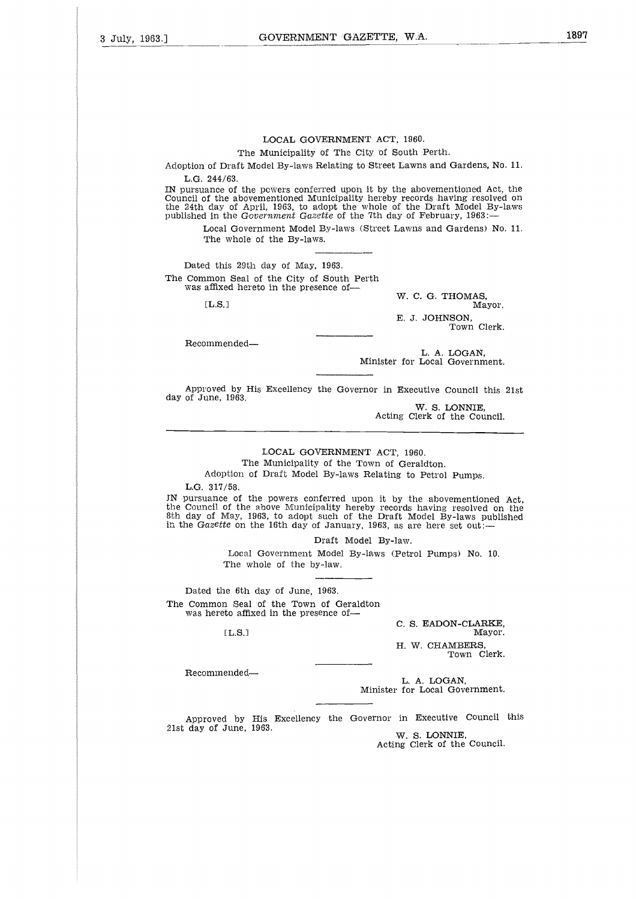The Municipality of The City Of South Perth.

Adoption of Draft Model By-laws Relating to Street Lawns and Gardens, No. 11. L.G. 244/63.

IN pursuance of the powers conferred upon it by the abovementioned Act, the Council of the abovementioned Municipality hereby records having resolved on the 24th day of April, 1963, to adopt the whole of the Draft Model By-laws published in the *Government Gazette* of the 7th day of February, 1963: 244/63.<br>
ance of the powers conferred upon it by the abovementioned Act,<br>
of the abovementioned Municipality hereby records having resolved<br>
day of April, 1963, to adopt the whole of the Draft Model By-<br>
in the Government

Local Government Model By-laws (Street Lawns and Gardens) No. 11. The whole of the By-laws.

Dated this 29th day of May, 1963. The Common Seal of the City of South Perth was affixed hereto in the presence of

W. C. G. THOMAS,

E. J. JOHNSON, Town Clerk.

Recommended

L. A. LOGAN, Minister for Local Government.

Approved by His Excellency the Governor in Executive Council this 21st day of June, 1963.

> W. S. LONNIE, Acting Clerk of the Council.

#### LOCAL GOVERNMENT ACT, 1960.

The Municipality of the Town of Geraldton.

Adoption of Draft Model By-laws Relating to Petrol Pumps.

L.G. 317/58.

IN pursuance of the powers conferred upon it by the abovementioned Act the Council of the above Municipality hereby records having resolved on the 8th day of May, 1963, to adopt such of the Draft Model By-laws published in the *Gazette* on the 16th day of January, 1963, as are here set out: 

Draft Model By-law.

Local Government Model By-laws (Petrol Pumps) No. 10. The whole of the by-law.

Dated the 6th day of June, 1963. The Common Seal of the Town of Geraldton was hereto affixed in the presence of-The Common Seal of the Common Seal of the Was hereto affixed in [L.S.]<br>[L.S.]<br>Recommended—<br>Approved by His ]<br>21st day of June, 1963.

 $[LLS]$ 

C. S. EADON-CLARKE, Mayor.

H. W. CHAMBERS Town Clerk.

Recommended

L. A. LOGAN, Minister for Local Government.

Approved by His Excellency the Governor in Executive Council this W. S. LONNIE,

Acting Clerk of the Council.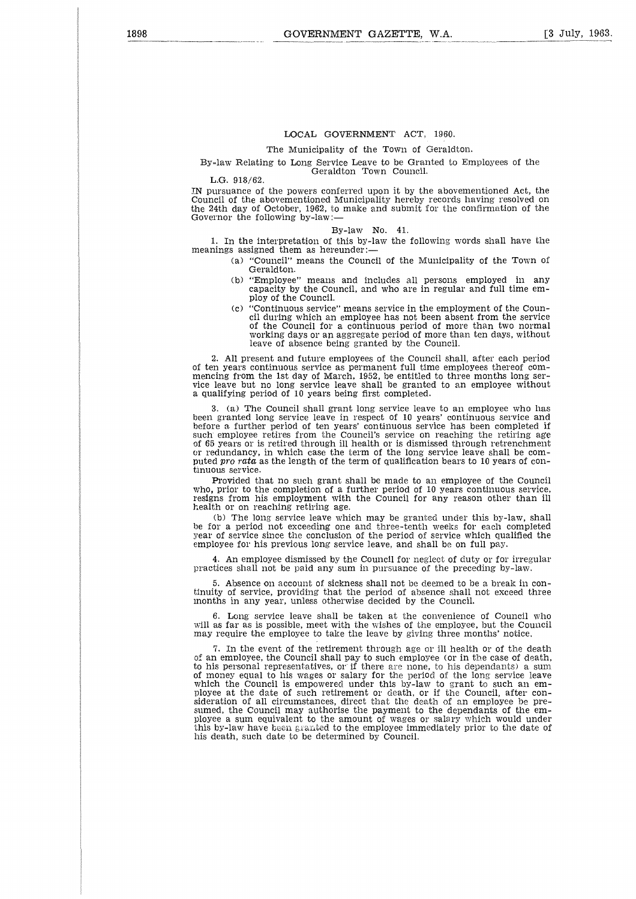#### The Municipality of the Town of Geraldton.

#### By-law Relating to Long Service Leave to be Granted to Employees of the Geraldton Town Council.

L.G. 918/62.

IN pursuance of the powers conferred upon it by the abovementioned Act, the Council of the abovementioned Municipality hereby records having resolved on the 24th day of October, 1962, to make and submit for the confirmation of the Governor the following by-law:

#### By-law No. 41.

1. In the interpretation of this by-law the following words shall have the meanings assigned them as hereunder:

- (a) "Council" means the Council of the Municipality of the Town of Geraldton.
- (b) "Employee" means and includes all persons employed in any capacity by the Council, and who are in regular and full time employ of the Council.
- (c) "Continuous service" means service in the employment of the Council during which an employee has not been absent from the service of the Council for a continuous period of more than two normal working days or an aggregate period of more than ten days, without leave of absence being granted by the Council.

2. All present and future employees of the Council shall, after each period of ten years continuous service as permanent full time employees thereof commencing from the 1st day of March, 1952, be entitled to three months long ser-vice leave but no long service leave shall be granted to an employee without a qualifying period of 10 years being first completed.

3. (a) The Council shall grant long service leave to an employee who has been granted long service leave in respect of 10 years' continuous service and before a further period of ten years' continuous service has been completed i such employee retires from the Council's service on reaching the retiring age of 65 years or is retired through ill health or is dismissed through retrenchment or redundancy, in which case the term of the long service leave shall be computed pro *rata* as the length of the term of qualification bears to 10 years of continuous service.

Provided that no such grant shall be made to an employee of the Council who, prior to the completion of a further period of 10 years continuous service, resigns from his employment with the Council for any reason other than ill health or on reaching retiring age.

(b) The long service leave which may be granted under this by-law, shall be for a period not exceeding one and three-tenth weeks for each completed year of service since the conclusion of the period of service which qualified the employee for his previous long service leave, and shall be on full pay.

4. An employee dismissed by the Council for neglect of duty or for irregular practices shall not be paid any sum in pursuance of the preceding by-law.

5. Absence on account of sickness shall not be deemed to be a break in con-tinuity of service, providing that the period of absence shall not exceed three months in any year, unless otherwise decided by the Council.

6. Long service leave shall be taken at the convenience of Council who will as far as is possible, meet with the wishes of the employee, but the Council may require the employee to take the leave by giving three months' notice.

7. In the event of the retirement through age or ill health or of the death of an employee, the Council shall pay to such employee (or in the case of death, to his personal representatives, or if there are none, to his dependants) a sum of money equal to his wages or salary for the period of the long service leave which the Council is empowered under this by-law to grant to such an employee at the date of such retirement or death, or if the Council, after consideration of all circumstances, direct that the death of an employee be presumed, the Council may authorise the payment to the dependants of the employee a sum equivalent to the amount of wages or salary which would under this by-law have been granted to the employee immediately prior to the date of his death, such date to be determined by Council.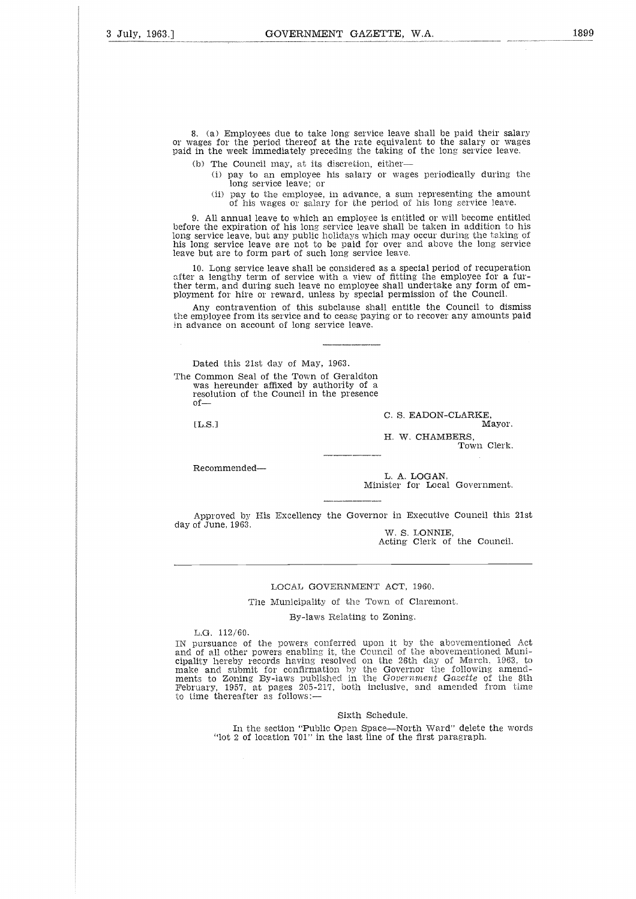8. (a) Employees due to take long service leave shall be paid their salary or wages for the period thereof at the rate equivalent to the salary or wages paid in the week immediately preceding the taking of the long service leave.

(b) The Council may, at its discretion, either-

- (i) pay to an employee his salary or wages periodically during the long service leave; or
- (ii) pay to the employee, in advance, a sum representing the amount of his wages or salary for the period of his long service leave.

9. All annual leave to which an employee is entitled or will become entitled before the expiration of his long service leave shall be taken in addition to his long service leave, but any public holidays which may occur during the taking of his long service leave are not to be paid for over and above the long service leave but are to form part of such long service leave.

10. Long service leave shall be considered as a special period of recuperation after a lengthy term of service with a view of fitting the employee for a further term, and during such leave no employee shall undertake any form of employment for hire or reward, unless by special permission of the Council.

Any contravention of this subclause shall entitle the Council to dismiss the employee from its service and to cease paying or to recover any amounts paid in advance on account of long service leave. ment for hire or reward, unless by special permission of the Council.<br>Any contravention of this subclause shall entitle the Council to dis<br>mployee from its service and to cease paying or to recover any amounts<br>vance on acc

Dated this 21st day of May, 1963.

The Common Seal of the Town of Geraldton was hereunder affixed by authority of a resolution of the Council in the presence of

C. S. EADON-CLARKE,<br>Mayor.

H. W. CHAMBERS, Town Clerk.

Recommended

L. A. LOGAN, Minister for Local Government.

Approved by His Excellency the Governor in Executive Council this 21st day of June, 1963. W. S. LONNIE,

Acting Clerk of the Council.

#### LOCAL GOVERNMENT ACT, 1960.

The Municipality of the Town of Claremont.

By-laws Relating to Zoning.

L.G. 112/60.

IN pursuance of the powers conferred upon it by the abovementioned Act and of all other powers enabling it, the Council of the abovementioned Municipality hereby records having resolved on the 26th day of March, 1963, to make and submit for confirmation by the Governor the following amend-ments to Zoning By-laws published in the *Government Gazette* of the 8th February, 1957, at pages 205-217, both inclusive, and amended from time to time thereafter as follows:—

#### Sixth Schedule.

In the section "Public Open Space—North Ward" delete the words "lot 2 of location  $701$ " in the last line of the first paragraph."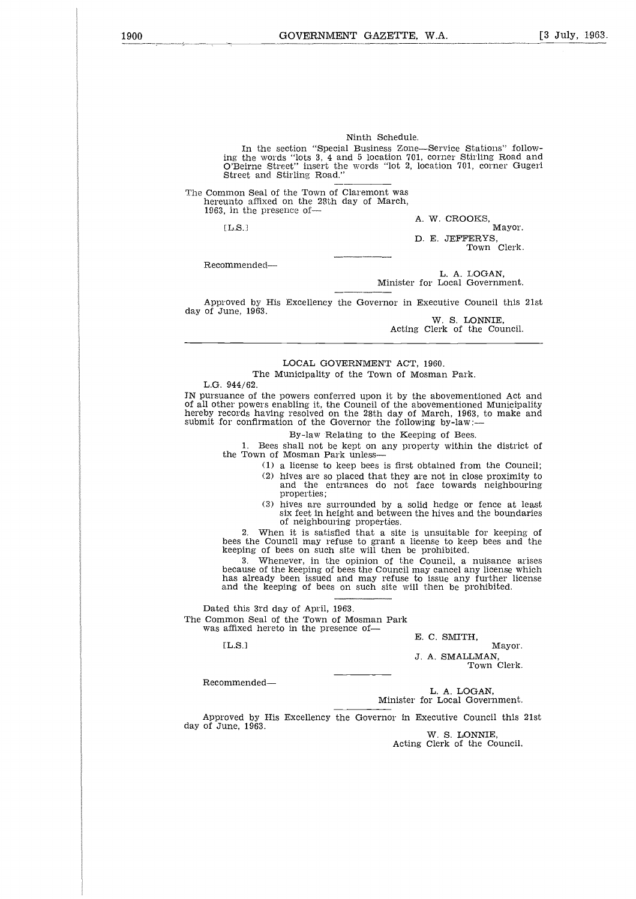Ninth Schedule.

In the section "Special Business Zone—Service Stations" following the words "lots 3, 4 and 5 location 701, corner Stirling Road and O'Beirne Street" insert the words "lot 2, location 701, corner Gugeri Street and Stirling Road." nnir<br>Innir<br>Anni

The Common Seal of the Town of Claremont was hereunto affixed on the 28th day of March, 1963, in the presence of-

 $[L.S.]$ 

A. W. CROOKS, Mayor. D. E. JEPEERYS,

Town Clerk,

Recommended

L. A. LOGAN, Minister for Local Government.

Approved by His Excellency the Governor in Executive Council this 21st day of June, 1963.

W. S. LONNIE, Acting Clerk of the Council.

#### LOCAL GOVERNMENT ACT, 1960. The Municipality of the Town of Mosman Park.

L.G. 944/62.

IN pursuance of the powers conferred upon it by the abovementioned Act and of all other powers enabling it, the Council of the abovementioned Municipality hereby records having resolved on the 28th day of March, 1963, to make and submit for confirmation of the Governor the following by-law:

#### By-law Relating to the Keeping of Bees.

1. Bees shall not be kept on any property within the district of the Town of Mosman Park unless

- (1) a license to keep bees is first obtained from the Council;
- (2) hives are so placed that they are not in close proximity to and the entrances do not face towards neighbouring properties;
- (3) hives are surrounded by a solid hedge or fence at least six feet in height and between the hives and the boundaries of neighbouring properties.

2. When it is satisfied that a site is unsuitable for keeping of bees the Council may refuse to grant a license to keep bees and the keeping of bees on such site will then be prohibited.

3. Whenever, in the opinion of the Council, a nuisance arises because of the keeping of bees the Council may cancel any license which has already been issued and may refuse to issue any further license and the keeping of bees on such site will then be prohibited. 2.<br>bees tl<br>keepin<br>3.<br>becaus<br>has all this<br>d this mon f<br>affixed<br>[L.S.]

Dated this 3rd day of April, 1963. The Common Seal of the Town of Mosman Park was affixed hereto in the presence of-

**E. C. SMITH,**

 $[L.S.]$ 

Mayor. J. A. SMALLMAN, Town Clerk.

Recommended

L. A. LOGAN, Minister for Local Government.

Approved by His Excellency the Governor in Executive Council this 21st day of June, 1963.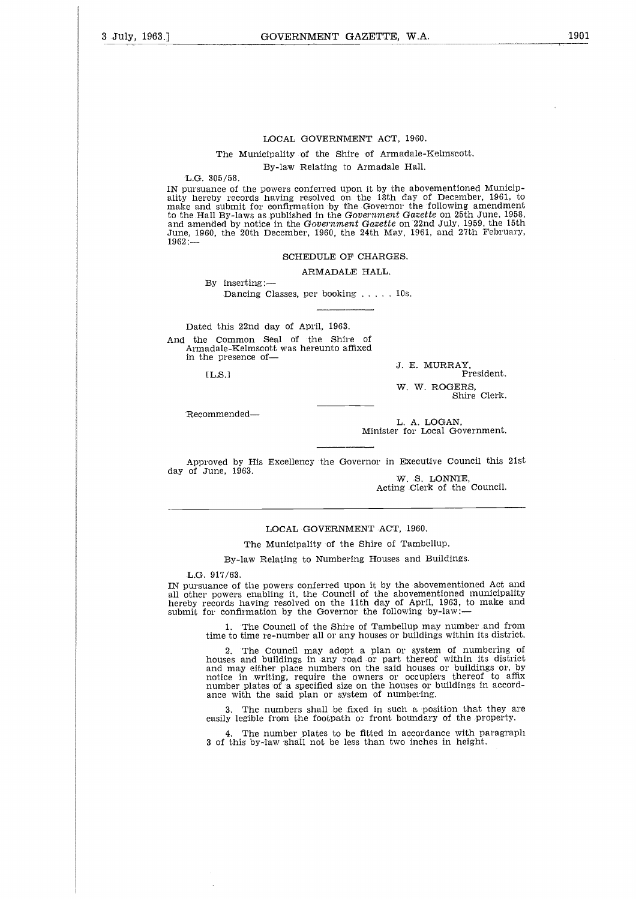The Municipality of the Shire of Armadale-Kelmscott.

By-law Relating to Armadale Hall.

L.G. 305/58.

IN pursuance of the powers conferred upon it by the abovementioned Municipality hereby records having resolved on the 18th day of December, 1961, to make and submit for confirmation by the Governor the following amendment to the. Hall By-laws as published in the *Government Gazette* on 25th June, 1958, and amended by notice in the *Government Gazette* on "22nd July, 1959, the 15th June, 1960, the 20th December, 1960, the 24th May, 1961, and 27th February, 1962:— By-law Relating to Armadale H<br>  $/58$ .<br>
e of the powers conferred upon it by the i<br>
records having resolved on the 18th daily<br>
obthist for confirmation by the Governor of<br>
By-laws as published in the Government G<br>
d by not

#### SCHEDULE OF CHARGES.

ARMADALE HALL.

By inserting:

Dated this 22nd day of April, 1963. And the Common Seal of the Shire of Armadale-Kelmscott was hereunto affixed in the presence of-|<br>|<br>|<br>|<br>|<br>|

 $[LL.S.]$ 

J. E. MURRAY, President. W. W. ROGERS, Shire Clerk.

Recommended

L. A. LOGAN, Minister for. Local Government.

Approved by His Excellency the Governor in Executive Council this 21st day of June, 1963.

W. S. LONNIE, Acting Clerk of the Council.

#### LOCAL GOVERNMENT ACT, 1960.

The Municipality of the Shire of Tambellup.

By-law Relating to Numbering Houses and Buildings.

L.G. 917/63.

IN pursuance of the powers conferred upon it by the abovementioned Act and all other powers enabling it, the Council of the abovementioned municipality hereby records having resolved on the 11th day of April, 1963, to make and submit for confirmation by the Governor the following by-law:-

> 1. The Council of the Shire of Tambellup may number and from time to time re-number all or any houses or buildings within its district.

> 2. The Council may adopt a plan or system of numbering of houses and buildings in any road or part thereof within its district and may either place numbers on the said houses or buildings or, by notice in writing, require the owners or occupiers thereof to affix number plates of a specified size on the houses or buildings in accordance with the said plan or system of numbering.

> 3. The numbers shall be fixed in such a position that they are easily legible from the footpath or front boundary of the property.

> 4. The number plates to be fitted in accordance with paragraph 3 of this by-law shall not be less than two inches in height.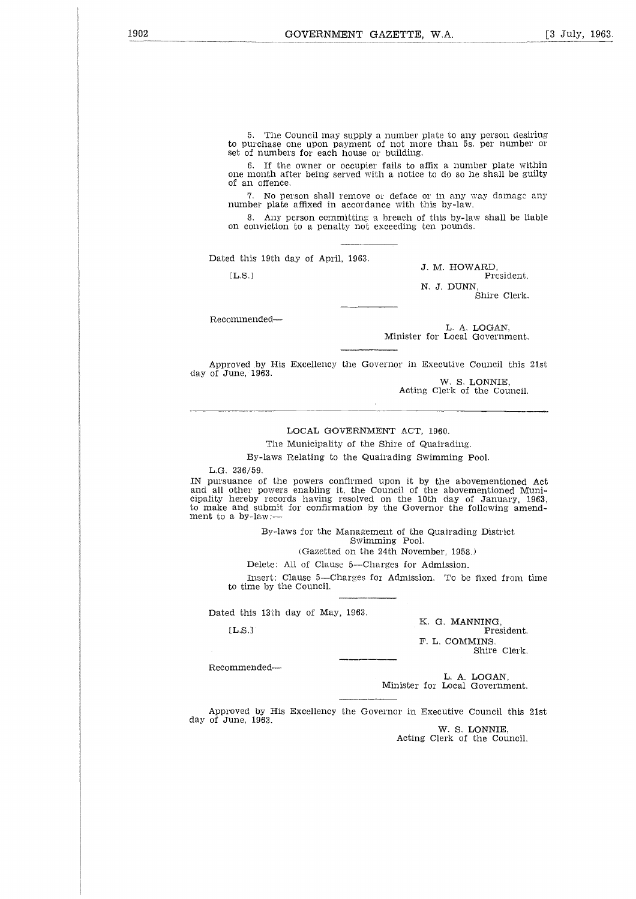5. The Council may supply a number plate to any person desiring to purchase one upon payment of not more than 5s. per number or set of numbers for each house or building.

6. If the owner or occupier fails to affix a number plate within one month after being served with a notice to do so he shall be guilty of an offence. EL.S.]<br>
EL.S.]<br>
Controller and the over the most of number of numbers for each house or building.<br>
EL.S. If the owner or occupier fails to affix a number plate wise<br>
month after being served with a notice to do so he shall

7. No person shall remove or deface or in any way damage any number plate affixed in accordance with this by-law.

8. Any person committing a breach of this by-law shall be liable on conviction to a penalty not exceeding ten pounds.

Dated this 19th day of April, 1963.

J. M. HOWARD, N. J. DUNN, Shire Clerk.

Recommended

L. A. LOGAN, ter for Local Government.

Approved .by His Excellency the Governor in Executive Council this 21st day of June, 1963.

W. S. LONNIE, Acting Clerk of the Council.

#### LOCAL GOVERNMENT ACT, 1960.

The Municipality of the Shire of Quairading.

By-laws Relating to the Quairading Swimming Pool.

L.G. 236/59.

IN pursuance of the powers confirmed upon it by the abovementioned Act and all other powers enabling it, the Council of the abovementioned Municipality hereby records having resolved on the 10th day of January, 1963, to make and submit for confirmation by the Governor the following amendment to a by-law: ther<br>and s<br>and s<br>by-1<br>De<br>In time<br>it this<br>L.S.]

By-laws for the Management of the Quairading District Swimming Pool.

(Gazetted on the 24th November, 1958.)

Delete: All of Clause 5—Charges for Admission.

Insert: Clause 5—Charges for Admission. To be fixed from time to time by the Council.

Dated this 13th day of May, 1963.

 $[LL.S.]$ 

K. G. MANNING, President. F. L. COMMINS, Shire Clerk.

Recommended

L. A. LOGAN, Minister for Local Government.

Approved by His Excellency the Governor in Executive Council this 21st day of June, 1963.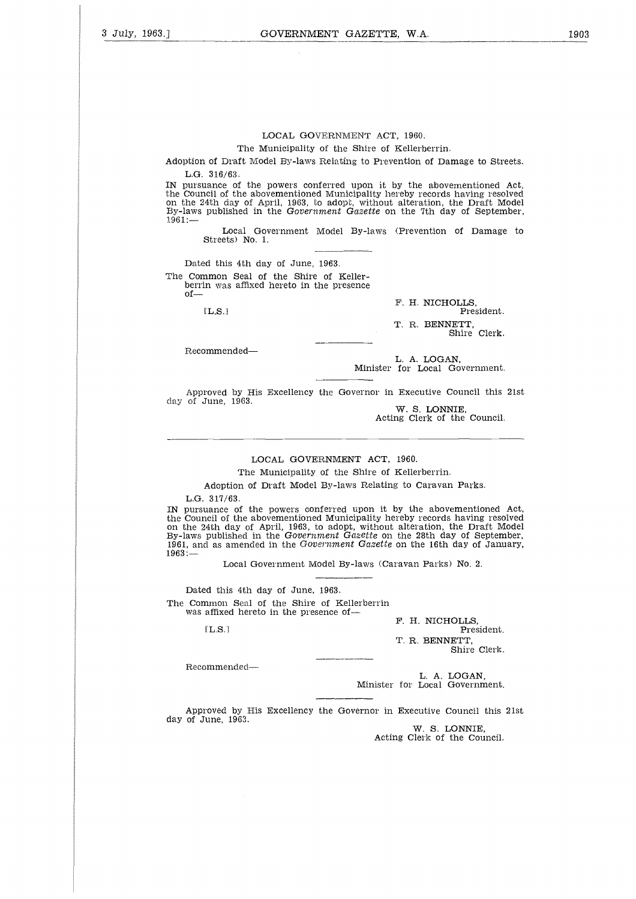The Municipality of the Shire of Kellerberrin.

Adoption of Draft Model By-laws Relating to Prevention of Damage to Streets. L.G. 316/63.

IN pursuance of the powers conferred upon it by the abovementioned Act the Council of the abovementioned Municipality hereby records having resolved on the 24th day of April, 1963, to adopt, without alteration, the Draft Model By-laws published in the *Government Gazette* on the 7th day of September,  $1961 -$ 316/6<br>
aance<br>
ceil of<br>
d4th dz<br>
publis<br>
Los<br>
Les<br>
dt his<br>
mon<br>
n was<br>
[L.S.]

Local Government Model By-laws (Prevention of Damage to Streets) No. 1.

Dated this 4th day of June, 1963. The Common Seal of the Shire of Keller-

berrin was affixed hereto in the presence of

 $[L, S.]$ 

F. H. NICHOLLS, President. T. R. BENNETT,

Shire Clerk.

Recommended

L. A. LOGAN, Minister for Local Government.

Approved by His Excellency the Governor in Executive Council this 21st day of June, 1963.

W. S. LONNIE, Acting Clerk of the Council.

#### LOCAL GOVERNMENT ACT, 1960.

The Municipality of the Shire of Kellerberrin.

Adoption of Draft Model By-laws Relating to Caravan Parks.

L.G. 317/63.

IN pursuance of the powers conferred upon it by the abovementioned Act the Council of the abovementioned Municipality hereby records having resolved on the 24th day of April, 1963, to adopt, without alteration, the Draft Model By-laws published in the *Government Gazette* on the 28th day of September, 1961, and as amended in the *Government Gazette* on the 16th day of January, 1963:—

Local Government Model By-laws (Caravan Parks) No. 2.

Dated this 4th day of June, 1963. The Common Seal of the Shire of Kellerberrin was affixed hereto in the presence of

 $[LLS.]$ 

F. H. NICHOLLS, President. T. R. BENNETT, Shire Clerk.

Recommended

L. A. LOGAN, Minister for Local Government.

Approved by His Excellency the Governor in Executive Council this 21st day of June, 1963.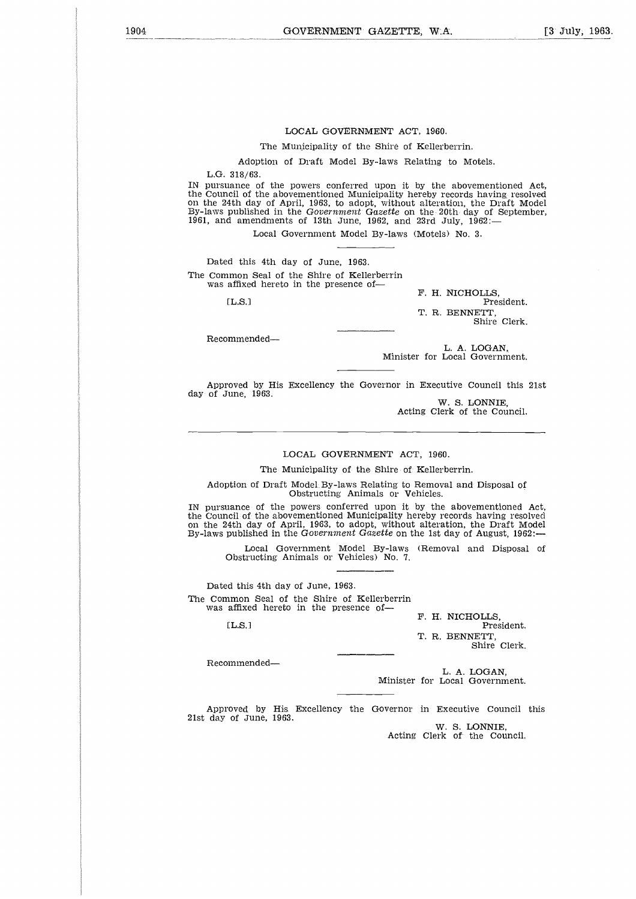The Municipality of the Shire of Kellerberrin.

Adoption of Draft Model By-laws Relating to Motels.

L.G. 318/63.

IN pursuance of the powers conferred upon it by the abovementioned Act, the Council of the abovementioned Municipality hereby records having resolved on the 24th day of April, 1963, to adopt, without alteration, the Draft Model By-laws published in the *Government Gazette* on the 20th day of September,<br>1961, and amendments of 13th June, 1962, and 23rd July, 1962: osia<br>Sie I<br>Lis sie

Local Government Model By-laws (Motels) No. 3.

Dated this 4th day of June, 1963. The Common Seal of the Shire of Kellerberrin was affixed hereto in the presence of-

 $[1.8]$ 

F. H. NICHOLLS, President. T. R. BENNETT, Shire Clerk.

Recommended

L. A. LOGAN, Minister for Local Government.

Approved by His Excellency the Governor in Executive Council this 21st day of June, 1963.

W. S. LONNIE, Acting Clerk of the Council.

#### LOCAL GOVERNMENT ACT, 1960.

The Municipality of the Shire of Kellerberrin.

Adoption of Draft Model By-laws Relating to Removal and Disposal of Obstructing Animals or Vehicles.

IN pursuance of the powers conferred upon it by the abovementioned Act, the Council of the abovementioned Municipality hereby records having resolved on the 24th day of April, 1963, to adopt, without alteration, the Draft Model By-laws published in the *Government Gazette* on the 1st day of August, 1962: o la<br>ladan<br>cou

Local Government Model By-laws (Removal and Disposal of Obstructing Animals or Vehicles) No. 7.

Dated this 4th day of June, 1963. The Common Seal of the Shire of Kellerberrin was affixed hereto in the presence of-

 $[L.S.]$ 

F. H. NICHOLLS, President.

T. R. BENNETT, Shire Clerk.

Recommended

L. A. LOGAN, Minister for Local Government.

Approved by His Excellency the Governor in Executive Council this 21st day of June, 1963.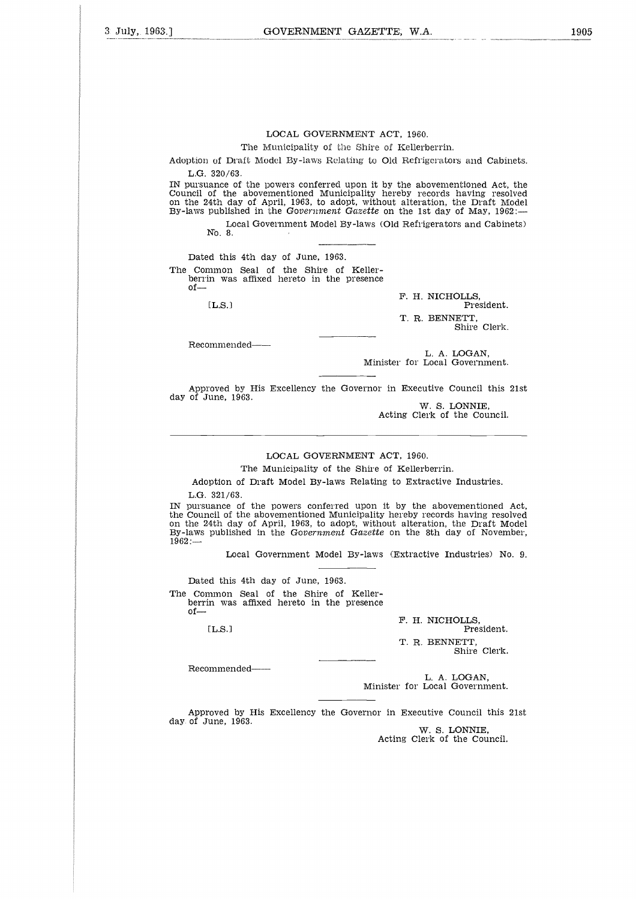The Municipality of the Shire of Kellerberrin.

Adoption of Draft Model By-laws Relating to Old Refrigerators and Cabinets. L.G. 320/63.

IN pursuance of the powers conferred upon it by the abovementioned Act, the Council of the abovementioned Municipality hereby records having resolved on the 24th day of April, 1963, to adopt, without alteration, the Draft Model By-laws published in the *Government Gazette* on the 1st day of May, 1962:  $320/63$ .<br>
In the abovementioned Act,<br>
the abovementioned Municipality hereby records having resc<br>
th day of April, 1963, to adopt, without alteration, the Draft Munished in the Government Gazette on the 1st day of May, 1

Local Government Model By-laws (Old Refrigerators and Cabinets) Nb. 8.

Dated this 4th day of June, 1963. The Common Seal of the Shire of Kellerberrin was affixed hereto in the presence of

F. H. NICHOLLS,<br>President. T. R. BENNETT, Shire Clerk.

Recommended-

L. A. LOGAN, Minister for Local Government.

Approved by His Excellency the Governor in Executive Council this 21st day of June, 1963.

W. S. LONNIE, Acting Clerk of the Council.

#### LOCAL GOVERNMENT ACT, 1960.

The Municipality of the Shire of Kellerberrin.

Adoption of Draft Model By-laws Relating to Extractive Industries. L.G. 321/63.

IN pursuance of the powers conferred upon it by the abovementioned Act, the Council of the abovementioned Municipality hereby records having resolved on the 24th day of April, 1963, to adopt, without alteration, the Draft Model By-laws published in the *Government Gazette* on the 8th day of November,  $1962 \cdot$  $321/6$ <br>
lance<br>
leil of<br>
d4th da<br>
publis<br>
Lo<br>
Lo<br>
d4this<br>
mmon<br>
m was<br>
[L.S.]

Local Government Model By-laws (Extractive Industries) No. 9.

Dated this 4th day of June, 1963.

The Common Seal of the Shire of Kellerberrin was affixed hereto in the presence of

 $[L.S.]$ 

F. H. NICHOLLS, President.

T. R. BENNETT, Shire Clerk.

Recommended--

L. A. LOGAN, Minister for Local Government.

Approved by His Excellency the Governor in Executive Council this 21st day of June, 1963.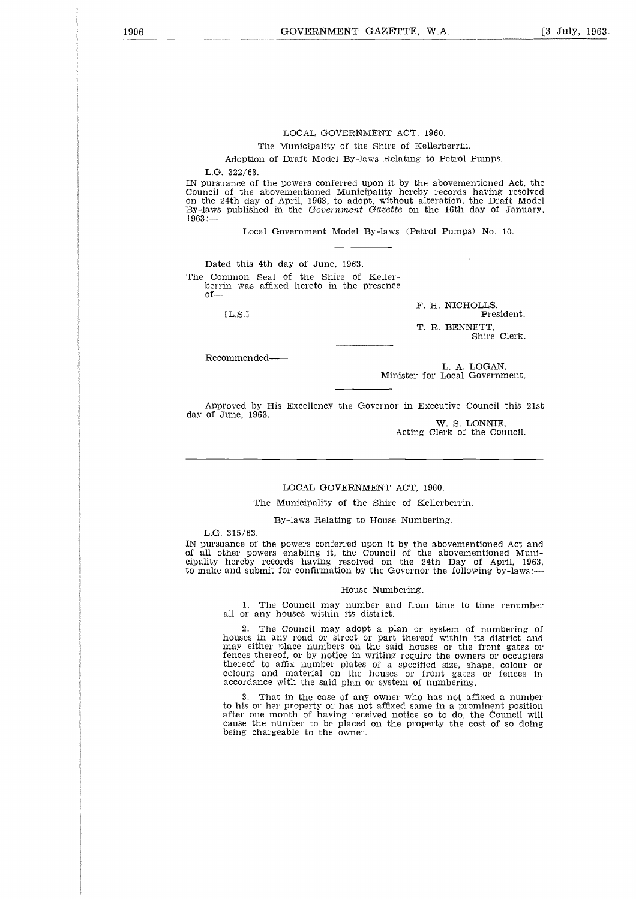The Municipality of the Shire of Kellerberrin.

Adoption of Draft Model By-laws Relating to Petrol Pumps.

L.G. 322/63.

IN pursuance of the powers conferred upon it by the abovementioned Act, the Council of the abovementioned Municipality hereby records having resolved on the 24th day of April, 1963, to adopt, without alteration, the Draft Model By-laws published in the *Government Gazette* on the 16th day of January,  $1963:$ celas constants in the second second and constant of the second second second second second second second second second second second second second second second second second second second second second second second seco

Local Government Model By-laws (Petrol Pumps) No. 10.

Dated this 4th day of June, 1963. The Common Seal of the Shire of Keller-berrin was affixed hereto in the presence of

 $[L.S.]$ 

F. H. NICHOLLS, President. T. R. BENNETT, Shire Clerk.

Recommended

L. A. LOGAN, Minister for Local Government.

Approved by His Excellency the Governor in Executive Council this 21st day of June, 1963.

W. S. LONNIE, Acting Clerk of the Council.

#### LOCAL GOVERNMENT ACT, 1960.

The Municipality of the Shire of Kellerberrin.

By-laws Relating to House Numbering.

L.G. 315/63.

IN pursuance of the powers conferred upon it by the abovementioned Act and of all other powers enabling it, the Council of the abovementioned Municipality hereby records having resolved on the 24th Day of April, 1963, to make and submit for confirmation by the Governor the following by-laws:—

#### House Numbering.

1. The Council may number and from time to time renumber all or any houses within its district.

2. The Council may adopt a plan or system of numbering of houses in any road or street or part thereof within its district and may either place numbers on the said houses or the front gates or fences thereof, or by notice in writing require the owners or occupiers thereof to affix number plates of a specified size, shape, colour or colours and material on the houses or front gates or fences in accordance with the said plan or system of numbering.

3. That in the case of any owner who has not affixed a number to his or her property or has not affixed same in a prominent position after one month of having received notice so to do, the Council will cause the number to be placed on the property the cost of so doing being chargeable to the owner.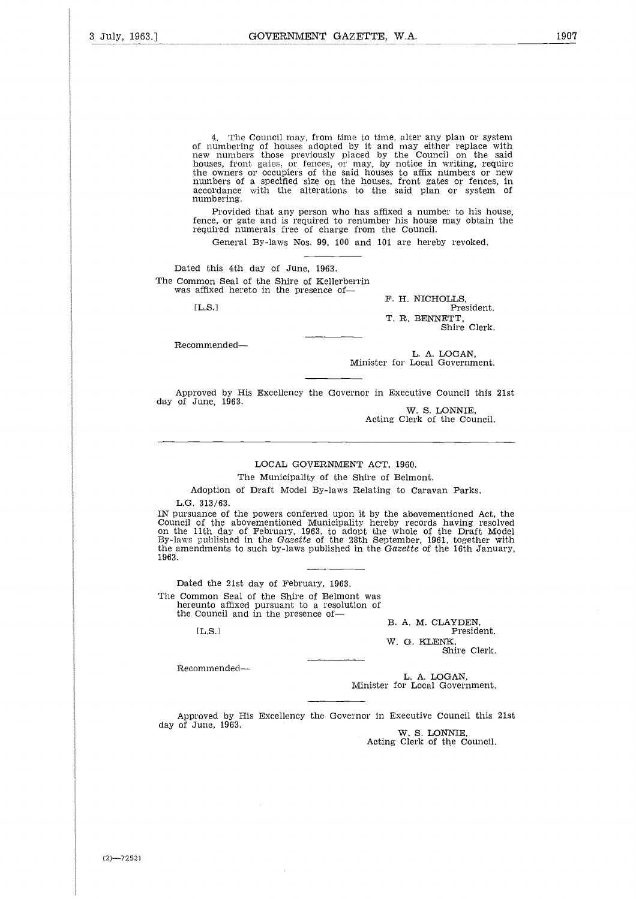4. The Council may, from time to time, alter any plan or system of numbering of houses adopted by it and may either replace with new numbers those previously placed by the Council on the said houses, front gates, or fences, or may, by notice in writing, require the owners or occupiers of the said houses to affix numbers or new numbers of a specified size on the houses, front gates or fences, in accordance with the alterations to the said plan or system of numbering. the own<br>mumbe<br>accord<br>mumbe<br>Prence,<br>Fence,<br>Ged this<br>affixed<br>L.S.1<br>L.S.1

Provided that any person who has affixed a number to his house, fence, or gate and is required to renumber his house may obtain the required numerals free of charge from the Council.

General By-laws Nos. 99, 100 and 101 are hereby revoked.

Dated this 4th day of June, 1963. The Common Seal of the Shire of Kellerberrin was affixed hereto in the presence of-

 $LLS.1$ 

F. H. NICHOLLS, President. T. R. BENNETT, Shire Clerk.

Recommended

L. A. LOGAN, Minister for Local Government.

Approved by His Excellency the Governor in Executive Council this 21st day of June, 1963.

W. S. LONNIE, Acting Clerk of the Council.

#### LOCAL GOVERNMENT ACT, 1960.

The Municipality of the Shire of Belmont.

Adoption of Draft Model By-laws Relating to Caravan Parks.

L.G. 313/63.

IN pursuance of the powers conferred upon it by the abovementioned Act, the Council of the abovementioned Municipality hereby records having resolved on the 11th day of February, 1963, to adopt the whole of the Draft Model By-laws published in the *Gazette* of the 28th September, 1961, together with the amendments to such by-laws published in the *Gazette* of the 16th January, 1963. acpace<br>313/6<br>ance cof the<br>ance of the<br>publisidmen<br>d the mmon<br>Counci<br>[L.S.]

Dated the 21st day of February, 1963. The Common Seal of the Shire of Belmont was hereunto affixed pursuant to a resolution of the Council and in the presence of

 $TLS.1$ 

B. A. M. CLAYDEN, President. W. G. KLENK, Shire Clerk.

Recommended

L. A. LOGAN, Minister for Local Government.

Approved by His Excellency the Governor in Executive Council this 21st day of June, 1963.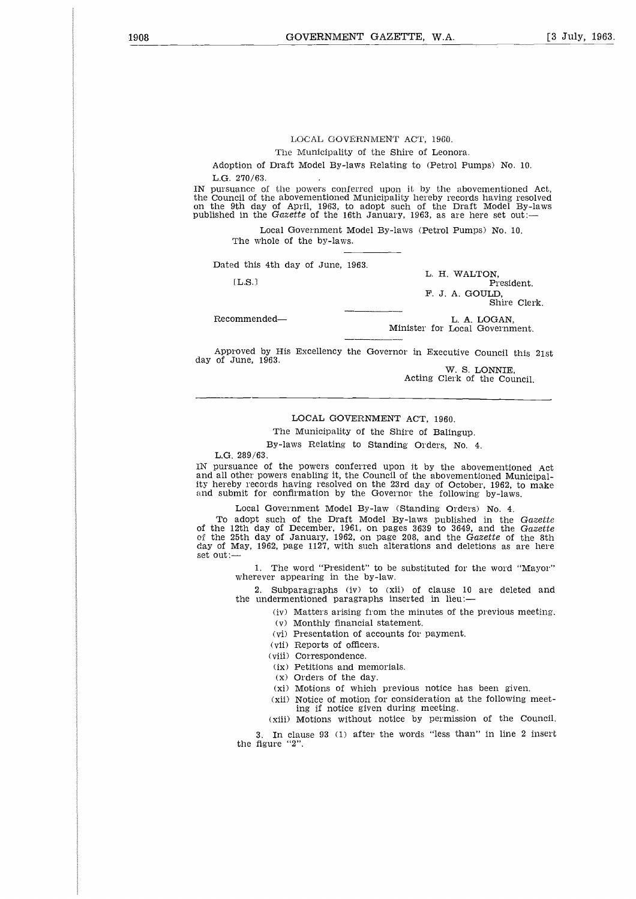The Municipality of the Shire of Leonora.

Adoption of Draft Model By-laws Relating to (Petrol Pumps) No, 10. L.G. 270/63.

IN pursuance of the powers conferred upon it by the abovementioned Act, the Council of the abovementioned Municipality hereby records having resolved<br>on the 9th day of April, 1963, to adopt such of the Draft Model By-laws<br>published in the Gazette of the 16th January, 1963, as are here set out: The Municipality of the Shire of Leonora.<br>
270/63.<br>
270/63.<br>
annee of the powers conferred upon it by the abovementioned<br>
cell of the abovementioned Municipality hereby records naving resconding<br>
the day of April, 1963, to by the abovementioned Municipality hereby records have a bovementioned Municipality hereby records having the Sth day of April, 1963, to adopt such of the Draft Model<br>
shed in the Gazette of the 16th January, 1963, as are

Local Government Model By-laws (Petrol Pumps) No. 10. The whole of the by-laws.

Dated this 4th day of June, 1963.

L. H. WALTON, F. J. A. GOULD, Shire Clerk.

L. A. LOGAN,<br>Minister for Local Government.

Approved by His Excellency the Governor in Executive Council this 21st day of June, 1963.

W. S. LONNIE, Acting Clerk of the Council.

#### LOCAL GOVERNMENT ACT, 1960.

The Municipality of the Shire of Balingup.

By-laws Relating to Standing Orders, No. 4.

L.G. 289/63.

IN pursuance of the powers conferred upon it by the abovementioned Act and all other powers enabling it, the Council of the abovementioned Municipality hereby records having resolved on the 23rd day of October, 1962, to make and submit for confirmation by the Governor the following by-laws.

Local Government Model By-law (Standing Orders) No. 4.

To adopt such of the Draft Model By-laws published in the *Gazette* of the 12th day of December, 1961, on pages 3639 to 3649, and the *Gazette* of the 25th day of January, 1962, on page 208, and the *Gazette* of the 8th day of May, 1962, page 1127, with such alterations and deletions as are here set out:—

> 1. The word "President" to be substituted for the word "Mayor" wherever appearing in the by-law.

2. Subparagraphs (iv) to (xii) of clause 10 are deleted and the undermentioned paragraphs inserted in lieu:

(iv) Matters arising from the minutes of the previous meeting.

(v) Monthly financial statement.

(vi) Presentation of accounts for payment.

(vii) Reports of officers.

(viii) Correspondence.

(ix) Petitions and memorials.

(x) Orders of the day.

(xi) Motions of which previous notice has been given.

(xii) Notice of motion for consideration at the following meeting if notice given during meeting.

(xiii) Motions without notice by permission of the Council.

3. In clause 93 (1) after the words "less than" in line 2 inser the figure "2".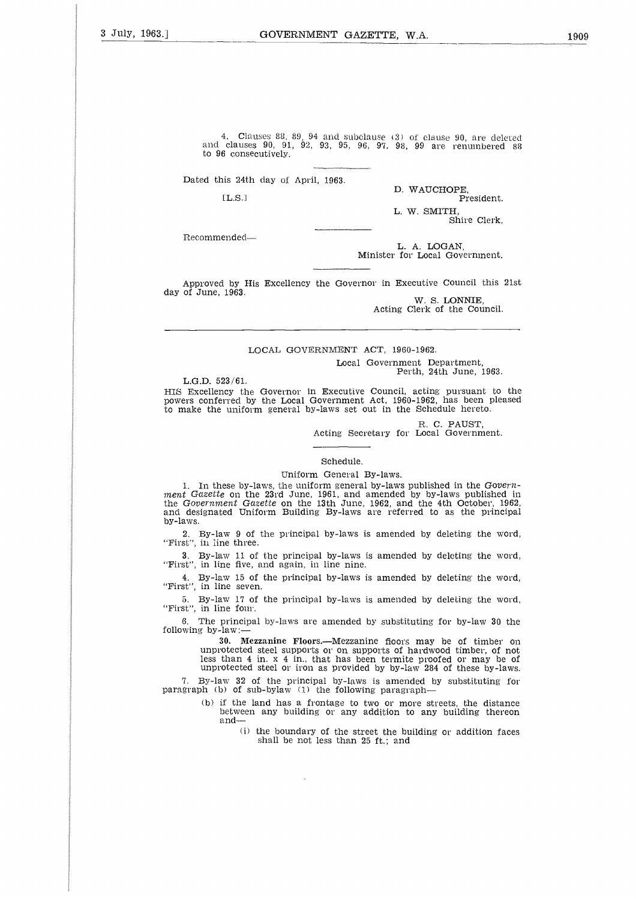4. Clauses 88, 89, 94 and subclause (3) of clause 90, are deleted and clauses 90, 91, 92, 93, 95, 96, 97, 98, 99 are renumbered 88 to 96 consecutively.

Dated this 24th day of April, 1963.

 $[L.S.1]$ 

D. WAUCHOPE, President. L. W. SMITH, Shire Clerk.

Recommended

L. A. LOGAN, Minister for Local Government.

Approved by His Excellency the Governor in Executive Council this 21st day of June, 1963. W. S. LONNIE,

Acting Clerk of the Council.

#### LOCAL GOVERNMENT ACT, 1960-1962.

Local Government Department, Perth, 24th June, 1963.

L.G.D. 523/61.

HIS Excellency the Governor in Executive Council, acting pursuant to the powers conferred by the Local Government Act, 1960-1962, has been pleased to make the uniform general by-laws set out in the Schedule hereto.

R. C. PAUST,

Acting Secretary for Local Government.

Schedule.

Uniform General By-laws.

1. In these by-laws, the uniform general by-laws published in the *Government Gazette* on the 23rd June, 1961, and amended by by-laws published in the *Government Gazette* on the 13th June, 1962, and the 4th October, 1962, and designated Uniform Building By-laws are referred to as the principal by-laws.

2. By-law 9 of the principal by-laws is amended by deleting the word, "First", in line three.

3. By-law 11 of the principal by-laws is amended by deleting the word, "First", in line five, and again, in line nine.

4. By-law 15 of the principal by-laws is amended by deleting the word, "First", in line seven.

5. By-law 17 of the principal by-laws is amended by deleting the word, "First", in line four.

6. The principal by-laws are amended by substituting for by-law 30 the following by-law:-

30. Mezzanine Floors.—Mezzanine floors may be of timber on unprotected steel supports or on supports of hardwood timber, of not less than 4 in. x 4 in., that has been termite proofed or may be of unprotected steel or iron as provided by by-law 284 of these by-laws.

7. By-law 32 of the principal by-laws is amended by substituting for paragraph (b) of sub-bylaw (1) the following paragraph-

- (b) if the land has a frontage to two or more streets, the distance between any building or any addition to any building thereon and-
	- (i) the boundary of the street the building or addition faces shall be not less than 25 ft.; and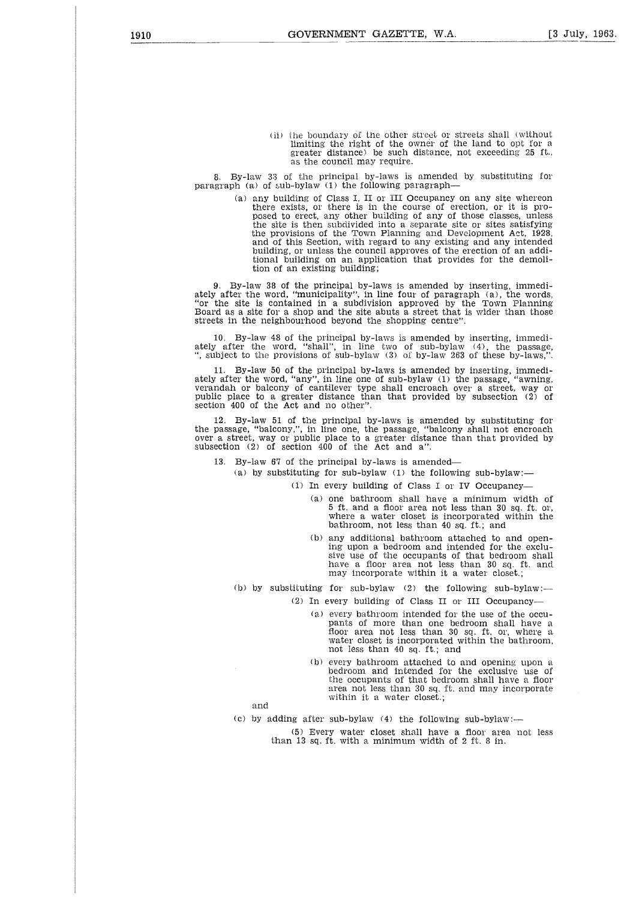(ii) the boundary of the other street or streets shall (without limiting the right of the owner of the land to opt for a greater distance) he such distance, not exceeding 25 ft., as the council may require.

8. By-law 33 of the principal by-laws is amended by substituting for paragraph (a) of sub-bylaw (1) the following paragraph

> (a) any building of Class I, II or III Occupancy on any site whereon there exists, or there is in the course of erection, or it is proposed to erect, any other building of any of those classes, unless the site is then subdivided into a separate site or sites satisfying the provisions of the Town Planning and Development Act, 1928, and of this Section, with regard to any existing and any intended building, or unless the council approves of the erection of an additional building on an application that provides for the demolition of an existing building;

9. By-law 38 of the principal by-laws is amended by inserting, immediately after the word, "municipality", in line four of paragraph (a), the words, "or the site is contained in a subdivision approved by the Town Planning Board as a site for a shop and the site abuts a street that is wider than those streets in the neighbourhood beyond the shopping centre".

10. By-law 48 of the principal by-laws is amended by inserting, immediately after the word, "shall", in line two of sub-bylaw (4), the passage, ", subject to the provisions of sub-bylaw (3) of by-law 263 of these by-laws,"

11. By-law 50 of the principal by-laws is amended by inserting, immediately after the word, "any", in line one of sub-bylaw (1) the passage, "awning, verandah or balcony of cantilever type shall encroach over a street, way or public place to a greater distance than that provided by subsection (2) of section 400 of the Act and no other".

12. By-law 51 of the principal by-laws is amended by substituting for the passage, "balcony,", in line one, the passage, "balcony shall not encroach over a street, way or public place to a greater distance than that provided by subsection (2) of section 400 of the Act and a".

13. By-law 67 of the principal by-laws is amended

(a) by substituting for sub-bylaw (1) the following sub-bylaw:-

(1) In every building of Class I or IV Occupancy

- (a) one bathroom shall have a minimum width of 5 ft. and a floor area not less than 30 sq. ft. or, where a water closet is incorporated within the bathroom, not less than 40 sq. ft.; and
- (b) any additional bathroom attached to and opening upon a bedroom and intended for the exclusive use of the occupants of that bedroom shall have a floor area not less than 30 sq. ft. and may incorporate within it a water closet.;
- (b) by substituting for sub-bylaw (2) the following sub-bylaw:-
	- (2) In every building of Class II or III Occupancy
		- (a) every bathroom intended for the use of the occupants of more than one bedroom shall have a floor area not less than 30 sq. ft. or, where a water closet is incorporated within the bathroom, not less than 40 sq. ft.; and
		- (b) every bathroom attached to and opening upon a bedroom and intended for the exclusive use of the occupants of that bedroom shall have a floor area not less than 30 sq. ft. and may incorporate within it a water closet.;

and

(c) by adding after sub-bylaw  $(4)$  the following sub-bylaw:--

(5) Every water closet shall have a floor area not less than 13 sq. ft. with a minimum width of 2 ft. 8 in.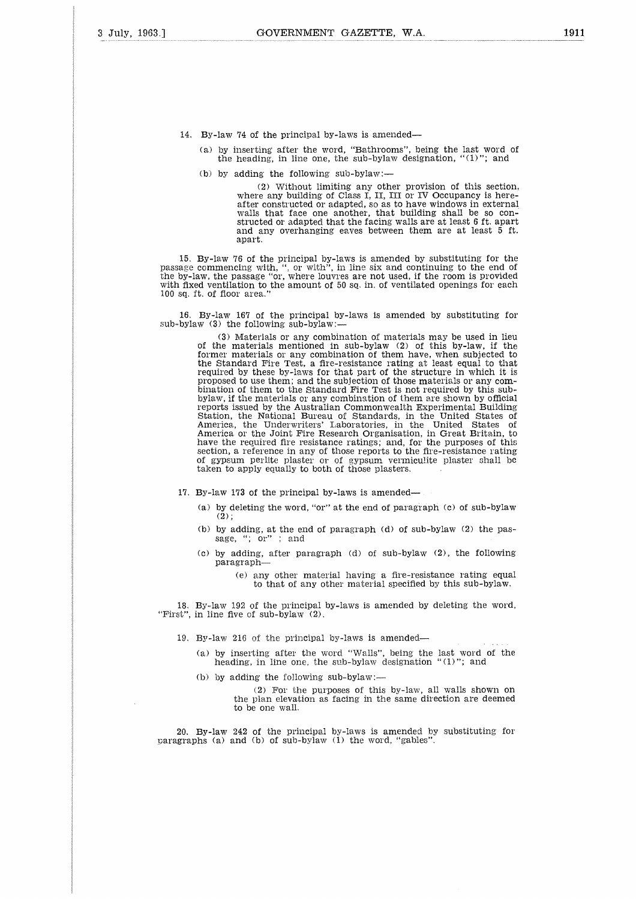- 14. By-law 74 of the principal by-laws is amended
	- (a) by inserting after the word, "Bathrooms", being the last word of the heading, in line one, the sub-bylaw designation, "(1)"; and
	- (b) by adding the following sub-bylaw:-

(2) Without limiting any other provision of this section, where any building of Class I, II, III or IV Occupancy is hereafter constructed or adapted, so as to have windows in external walls that face one another, that building shall be so constructed or adapted that the facing walls are at least 6 ft. apart and any overhanging eaves between them are at least 5 ft. apart.

15. By-law 76 of the principal by-laws is amended by substituting for the passage commencing with, ", or with", in line six and continuing to the end of the by-law, the passage "or, where louvres are not used, if the room is provided with fixed ventilation to the amount of 50 sq. in. of ventilated openings for each 100 sq. ft. of floor area."

16. By-law 167 of the principal by-laws is amended by substituting for sub-bylaw (3) the following sub-bylaw:-

> (3) Materials or any combination of materials may be used in lieu of the materials mentioned in sub-bylaw (2) of this by-law, if the former materials or any combination of them have, when subjected to the Standard Fire Test, a fire-resistance rating at least equal to that required by these by-laws for that part of the structure in which it is proposed to use them; and the subjection of those materials or any combination of them to the Standard Fire Test is not required by this subbylaw, if the materials or any combination of them are shown by official reports issued by the Australian Commonwealth Experimental Building Station, the National Bureau of Standards, in the United States of America, the Underwriters' Laboratories, in the United States of America or the Joint Fire Research Organisation, in Great Britain, to have the required fire resistance ratings; and, for the purposes of this section, a reference in any of those reports to the fire-resistance rating of gypsum perlite plaster or of gypsum vermiculite plaster shall be taken to apply equally to both of those plasters.

- 17. By-law 173 of the principal by-laws is amended
	- (a) by deleting the word, "or" at the end of paragraph (c) of sub-bylaw  $(2)$ :
	- (b) by adding, at the end of paragraph (d) of sub-bylaw (2) the pas-sage, "; or" : and
	- (c) by adding, after paragraph (d) of sub-bylaw (2), the following paragraph
		- (e) any other material having a fire-resistance rating equal to that of any other material specified by this sub-bylaw.

18. By-law 192 of the principal by-laws is amended by deleting the word, "First", in line five of sub-bylaw (2).

- 19. By-law 216 of the principal by-laws is amended
	- (a) by inserting after the word "Walls", being the last word of the heading, in line one, the sub-bylaw designation "(1)"; and
	- $(b)$  by adding the following sub-bylaw:

(2) For the purposes of this by-law, all walls shown on the plan elevation as facing in the same direction are deemed to be one wall.

20. By-law 242 of the principal by-laws is amended by substituting for paragraphs (a) and (b) of sub-bylaw (1) the word, "gables".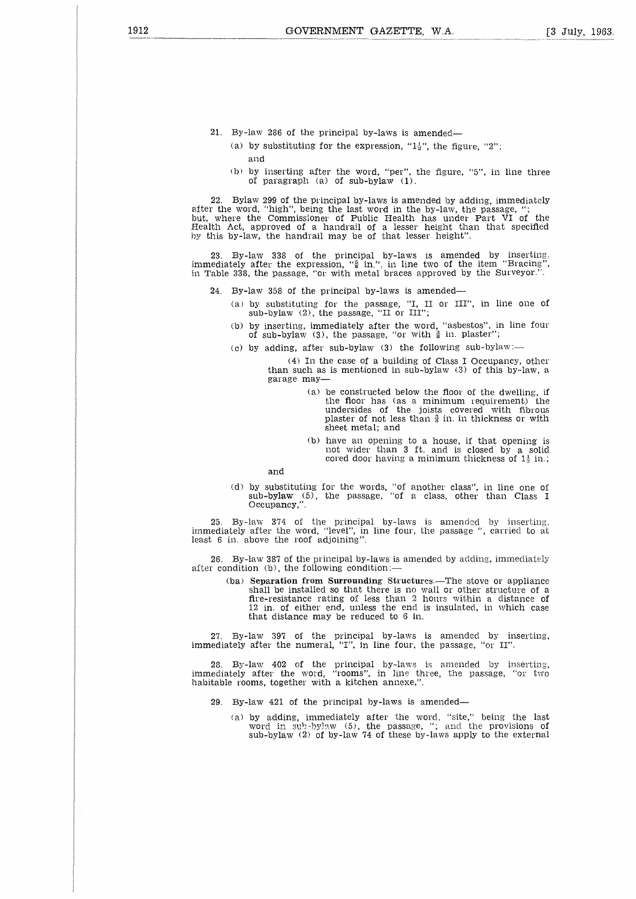- 21. By-law 286 of the principal by-laws is amended
	- (a) by substituting for the expression, " $1\frac{1}{2}$ ", the figure, "2"; and
	- b) by inserting after the word, "per", the figure, "5", in line three of paragraph (a) of sub-bylaw (1).

22. Bylaw 299 of the principal by-laws is amended by adding, immediately after the word, "high", being the last word in the by-law, the passage, "; hut, where the Commissioner of Public Health has under Part VI of the Health Act, approved of a handrail of a lesser height than that specified by this by-law, the handrail may be of that lesser height".

23. By-law 338 of the principal by-laws is amended by inserting, immediately after the expression, " $_8^5$  in.", in line two of the item "Bracing", in Table 338, the passage, "or with metal braces approved by the Surveyor.".

- 24. By-law 358 of the principal by-laws is amended
	- (a) by substituting for the passage, "I, II or III", in line one of sub-bylaw (2), the passage, "II or III";
	- (b) by inserting, immediately after the word, "asbestos", in line four of sub-bylaw (3), the passage, "or with  $\frac{3}{8}$  in. plaster"
	- (c) by adding, after sub-bylaw (3) the following sub-bylaw:-

(4) In the case of a building of Class I Occupancy, other than such as is mentioned in sub-bylaw (3) of this by-law, a garage may

- (a) be constructed below the floor of the dwelling, if the floor has (as a minimum requirement) the undersides of the joists covered with fibrous plaster of not less than 8 in. in thickness or with sheet metal; and
- (b) have an opening to a house, if that opening is not wider than 3 ft. and is closed by a solid cored door having a minimum thickness of  $1\frac{1}{2}$  in.;

and

(d) by substituting for the words, "of another class", sub-bylaw (5), the passage, "of a class, other Occupancy,". in line one of than Class I

25. By-law 374 of the principal by-laws is amended immediately after the word, "level", in line four, the passage " least 6 in. above the roof adjoining". by inserting, , carried to at

26. By-law 387 of the principal by-laws is amended by adding, immediately after condition (b), the following condition:—

> (ba) **Separation from Surrounding** Structures.—The stove or appliance shall be installed so that there is no wall or other structure of a fire-resistance rating of less than 2 hours within a distance of 12 in. of either end, unless the end is insulated, in which case that distance may be reduced to 6 in.

27. By-law 397 of the principal by-laws is amended by inserting, immediately after the numeral, "I", in line four, the passage, "or II".

28. By-law 402 of the principal by-laws is amended by inserting, immediately after the word, "rooms", in line three, the passage, "or two habitable rooms, together with a kitchen annexe,".

- 29. By-law 421 of the principal by-laws is amended
	- (a) by adding, immediately after the word, "site," being the last word in sub-bylaw (5), the passage, "; and the provisions of sub-bylaw (2) of by-law 74 of these by-laws apply to the external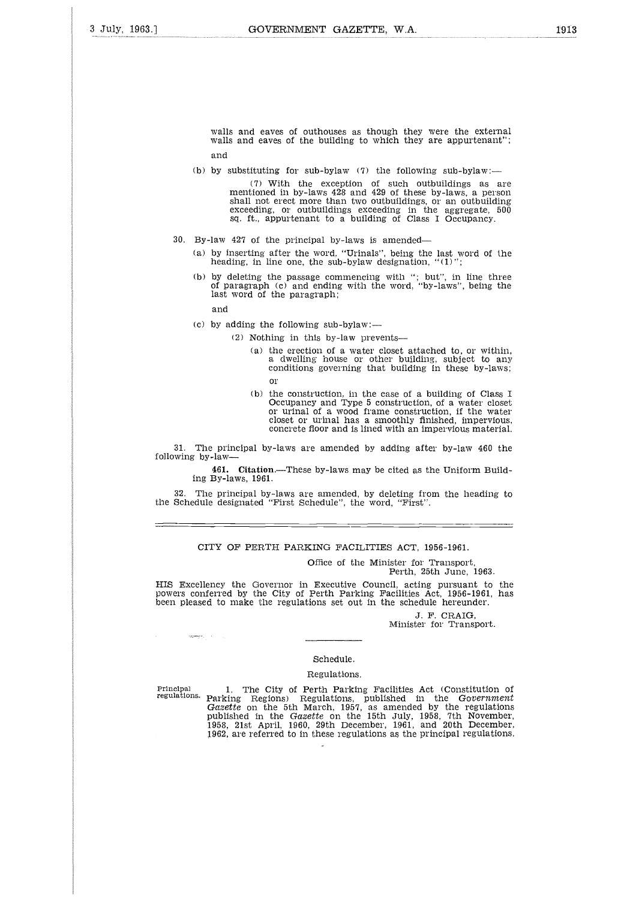walls and eaves of outhouses as though they were the external walls and eaves of the building to which they are appurtenant"; and

(b) by substituting for sub-bylaw  $(7)$  the following sub-bylaw:-

(7) With the exception of such outbuildings as are mentioned in by-laws 428 and 429 of these by-laws, a person shall not erect more than two outbuildings, or an outbuilding exceeding, or outbuildings exceeding in the aggregate, 500 sq. ft., appurtenant to a building of Class I Occupancy.

- 30. By-law 427 of the principal by-laws *is* amended
	- (a) by inserting after the word. "Urinals", being the last word of the heading, in line one, the sub-bylaw designation, "(1)";
	- (b) by deleting the passage commencing with "; but", in line three of paragraph (c) and ending with the word, "by-laws", being the last word of the paragraph;

and

- (c) by adding the following  $sub-bylaw$ :-
	- (2) Nothing in this by-law prevents
		- (a) the erection of a water closet attached to, or within. a dwelling house or other building, subject to any conditions governing that building in these by-laws; or
		- (b) the construction, in the case of a building of Class I Occupancy and Type 5 construction, of a water closet or urinal of a wood frame construction, if the water closet or urinal has a smoothly finished, impervious, concrete floor and is lined with an impervious material.

31. The principal by-laws are amended by adding after by-law 460 the following by-law-

461. Citation.—These by-laws may be cited as the Uniform Building By-laws, 1961.

32. The principal by-laws are amended, by deleting from the heading to the Schedule designated "First Schedule", the word, "First".

#### CITY OF PERTH PARKING FACILITIES ACT, 1956-1961.

Office of the Minister for Transport, Perth, 25th June, 1963.

HIS Excellency the Governor in Executive Council, acting pursuant to the powers conferred by the City of Perth Parking Facilities Act, 1956-1961, has been pleased to make the regulations set out in the schedule hereunder.

J. F. CRAIG, Minister for Transport.

#### Schedule.

#### Regulations.

Figure 1. The City of Perth, 20th June, 1965.<br>
Perth, 20th June, 1965.<br>
Dowers conferred by the City of Perth Parking Facilities Act, 1956-1961, has<br>
Doeen pleased to make the regulations set out in the schedule hereunder. regulations. Parking Regions) Regulations, published in the *Government Gazette* on the 5th March, 1957, as amended by the regulations published in the *Gazette* on the 15th July, 1958, 7th November, 1958, 21st April, 1960, 29th December, 1961, and 20th December, 1962, are referred to in these regulations as the principal regulations.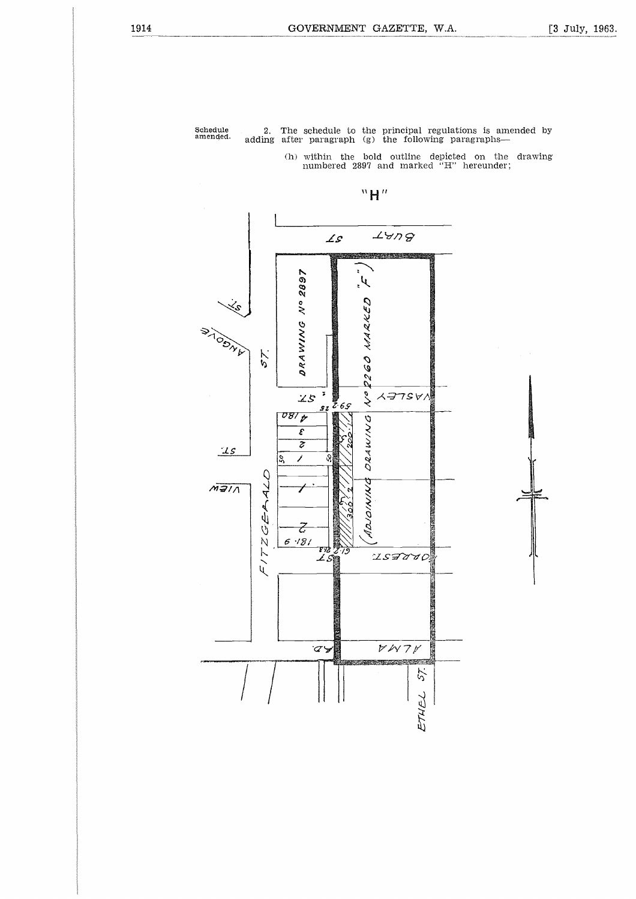Schedule amended.

2. The schedule to the principal regulations is amended by adding after paragraph (g) the following paragraphs

(h) within the bold outline depicted on the drawing numbered 2897 and marked "H" hereunder;



**H"**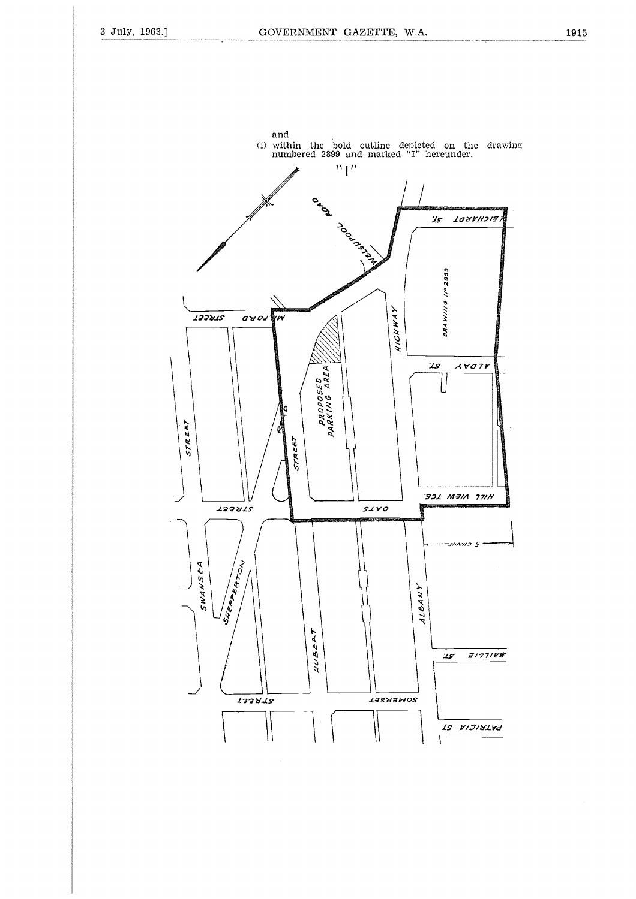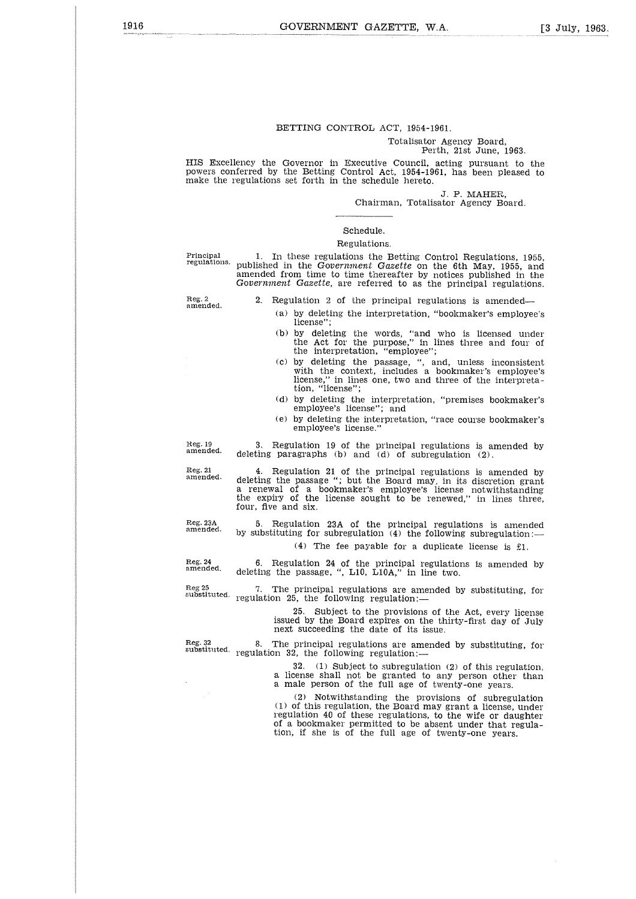#### BETTING CONTROL ACT, 1954-1961.

#### Totalisator Agency Board, Perth, 21st June, 1963.

HIS Excellency the Governor in Executive Council, acting pursuant to the powers conferred by the Betting Control Act, 1954-1961, has been pleased to make the regulations set forth in the schedule hereto.

J. P. MAHER,

Chairman, Totalisator Agency Board.

# Schedule.

#### Regulations.

Principal regulations.

1. In these regulations the Betting Control Regulations, 1955, published in the *Government Gazette* on the 6th May, 1955, and amended from time to time thereafter by notices published in the *Government Gazette,* are referred to as the principal regulations.

Reg. 2 amended.

2. Regulation 2 of the principal regulations is amended

- (a) by deleting the interpretation, "bookmaker's employee's license"
- (b) by deleting the words, "and who is licensed under the Act for the purpose," in lines three and four of the interpretation, "employee";
- (c) by deleting the passage, ", and, unless inconsistent with the context, includes a bookmaker's employee's license," in lines one, two and three of the interpreta-tion, "license";
- (d) by deleting the interpretation, "premises bookmaker's employee's license"; and
- (e) by deleting the interpretation, "race course bookmaker's employee's license."

Reg. 19 amended.

Reg. 21 amended.

4. Regulation 21 of the principal regulations is amended by deleting the passage "; but the Board may, in its discretion grant a renewal of a bookmaker's employee's license notwithstanding the expiry of the license sought to be renewed," in lines three, four, five and six.

3. Regulation 19 of the principal regulations is amended by deleting paragraphs (b) and (d) of subregulation (2).

5. Regulation 23A of the principal regulations is amended by substituting for subregulation  $(4)$  the following subregulation:— (4) The fee payable for a duplicate license is El.

6. Regulation 24 of the principal regulations is amended by deleting the passage, ", L10, L10A," in line two.

7. The principal regulations are amended by substituting, for  ${\tt regulation}$  25, the following regulation:—

> 25. Subject to the provisions of the Act, every license issued by the Board expires on the thirty-first day of July next succeeding the date of its issue.

Reg. 32 substituted. 8. The principal regulations are amended by substituting, for regulation 32, the following regulation:-  $(1)$  Subject to subregulation  $(2)$  of this regulation, a license shall not be granted to any person other than a male person of the full age of twenty-one years.

> (2) Notwithstanding the provisions of subregulation  $(1)$  of this regulation, the Board may grant a license, under regulation 40 of these regulations, to the wife or daughter of a bookmaker permitted to be absent under that regula-tion, if she is of the full age of twenty-one years.

Reg. 23A amended.

Reg. 24 amended.

Reg 25 substituted.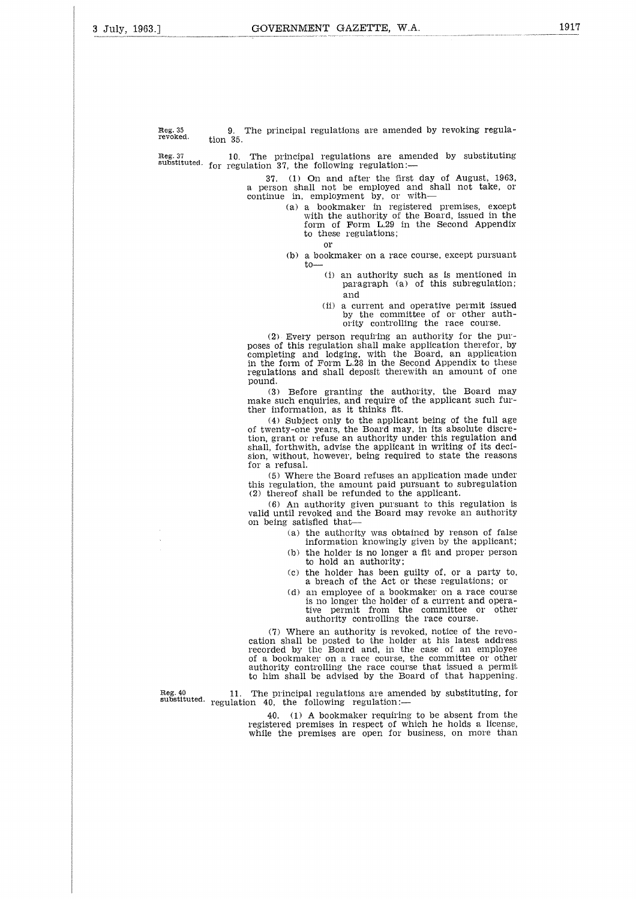Reg. 35 revoked. 9. The principal regulations are amended by revoking regulation 35.

Reg. 37 **10.** The principal regulations are amended by substituting<br>substituted. for regulation 37 the following regulation: regulation 37, the following regulation:-

Or

37. (1) On and after the first day of August, 1963, a person shall not be employed and shall not take, or continue in, employment by, or with

- (a) a bookmaker in registered premises, except with the authority of the Board, issued in the form of Form L.29 in the Second Appendix to these regulations;
- (b) a bookmaker on a race course, except pursuant to-
	- (i) an authority such as is mentioned in paragraph (a) of this subregulation; and
	- (ii) a current and operative permit issued by the committee of or other authority controlling the race course.

(2) Every person requiring an authority for the purposes of this regulation shall make application therefor, by completing and lodging, with the Board, an application in the form of Form L.28 in the Second Appendix to these regulations and shall deposit therewith an amount of one pound.

(3) Before granting the authority, the Board may make such enquiries, and require of the applicant such further information, as it thinks fit.

(4) Subject only to the applicant being of the full age of twenty-one years, the Board may, in its absolute discretion, grant or refuse an authority under this regulation and shall, forthwith, advise the applicant in writing of its decision, without, however, being required to state the reasons for a refusal.

(5) Where the Board refuses an application made under this regulation, the amount paid pursuant to subregulation (2) thereof shall be refunded to the applicant.

(6) An authority given pursuant to this regulation is valid until revoked and the Board may revoke an authority on being satisfied that

- (a) the authority was obtained by reason of false information knowingly given by the applicant;
- (b) the holder is no longer a fit and proper person to hold an authority;
- (c) the holder has been guilty of, or a party to, a breach of the Act or these regulations; or
- (d) an employee of a bookmaker on a race course is no longer the holder of a current and opera-tive permit from the committee or other authority controlling the race course.

(7) Where an authority is revoked, notice of the revocation shall be posted to the holder at his latest address recorded by the Board and, in the case of an employee of a bookmaker on a race course, the committee or other authority controlling the race course that issued a permit to him shall be advised by the Board of that happening. For a societies of a bookmaker on a race course.<br>
The principal regulation is an object to a current and operator the committee or other authority controlling the race course.<br>
(7) Where an authority is revoked, notice of

Reg. 40 11. The principal regulations are amended by substituting, for substituted. regulation 40, the following regulation:—

40. (1) A bookmaker requiring to be absent from the registered premises in respect of which he holds a license, while the premises are open for business, on more than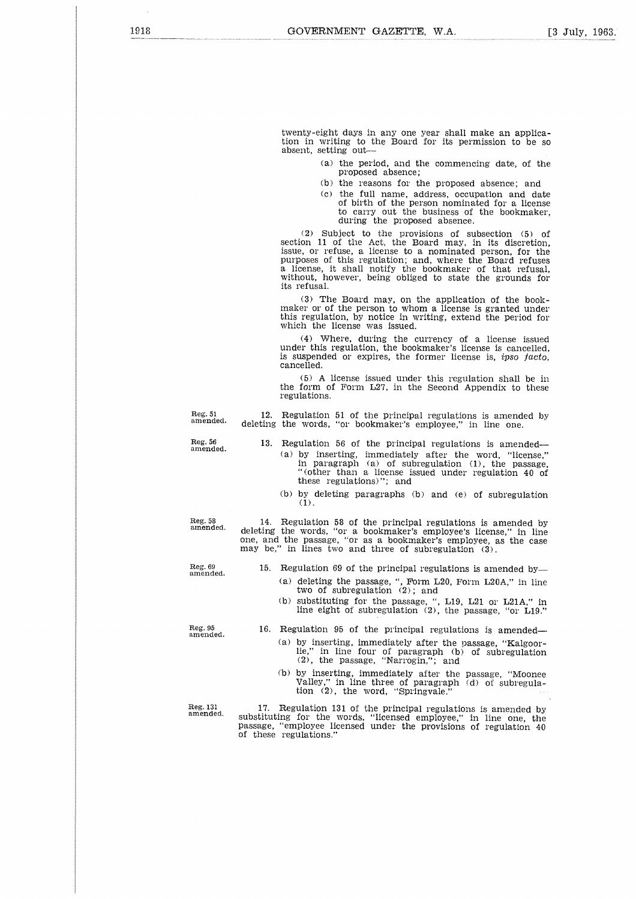twenty-eight days in any one year shall make an applica-tion in writing to the Board for its permission to be so absent, setting out

- (a) the period, and the commencing date, of the proposed absence;
- (b) the reasons for the proposed absence; and
- (c) the full name, address, occupation and date of birth of the person nominated for a license to carry out the business of the bookmaker, during the proposed absence.

(2) Subject to the provisions of subsection (5) of section 11 of the Act, the Board may, in its discretion, issue, or refuse, a license to a nominated person, for the purposes of this regulation; and, where the Board refuses a license, it shall notify the bookmaker of that refusal, without, however, being obliged to state the grounds for its refusal.

(3) The Board may, on the application of the bookmaker or of the person to whom a license is granted under this regulation, by notice in writing, extend the period for which the license was issued.

(4) Where, during the currency of a license issued under this regulation, the bookmaker's license is cancelled, is suspended or expires, the former license is, *ipso facto,* cancelled.

(5) A license issued under this regulation shall be in the form of Form L27, in the Second Appendix to these regulations.

Reg. 51 amended. 12. Regulation 51 of the principal regulations is amended by deleting the words, "or bookmaker's employee," in line one.

- 13. Regulation 56 of the principal regulations is amended (a) by inserting, immediately after the word, "license," in paragraph (a) of subregulation (1), the passage, "(other than a license issued under regulation 40 of these regulations)"; and
	- (b) by deleting paragraphs (b) and (e) of subregulation (1).

14. Regulation 58 of the principal regulations is amended by deleting the words, "or a bookmaker's employee's license," in line one, and the passage, "or as a bookmaker's employee, as the case may be," in lines two and three of subregulation (3).

Reg. 69 amended.

- 15. Regulation 69 of the principal regulations is amended by (a) deleting the passage, ", Form L20, Form L20A," in line two of subregulation (2); and
	- (b) substituting for the passage, ", L19, L21 or L21A," in line eight of subregulation (2), the passage, "or L19."

Reg. 95 amended.

Reg. 56 amended.

Reg. 58 amended.

- 16. Regulation 95 of the principal regulations is amended (a) by inserting, immediately after the passage, "Kalgoor-lie," in line four of paragraph (b) of subregulation (2), the passage, "Narrogin,"; and
	- (b) by inserting, immediately after the passage, "Moonee Valley," in line three of paragraph (d) of subregula-tion (2), the word, "Springvale."

Reg. 131 amended.

17. Regulation 131 of the principal regulations is amended by substituting for the words, "licensed employee," in line one, the passage, "employee licensed under the provisions of regulation 40 of these regulations."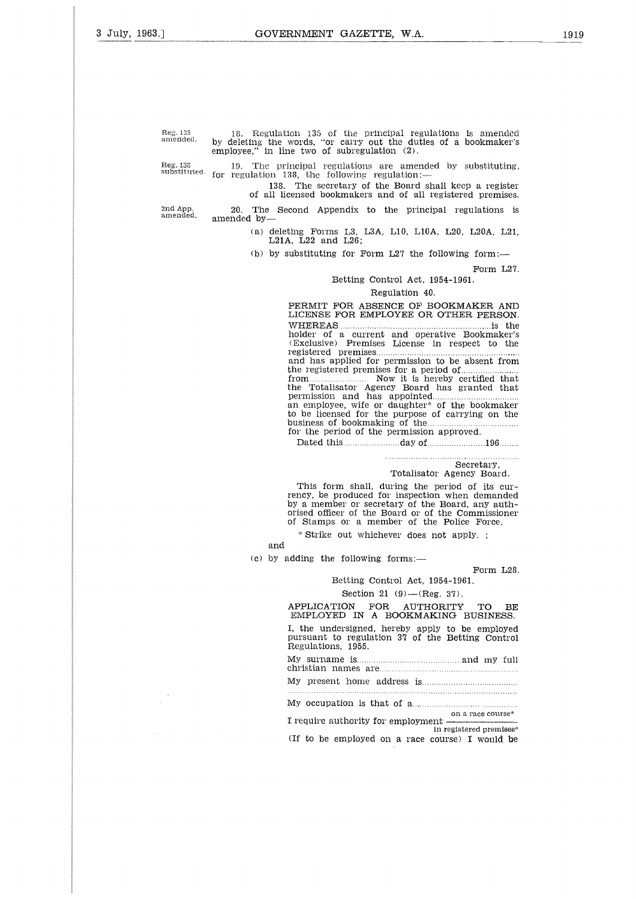Reg. 135<br>amended.

Reg. 135 18. Regulation 135 of the principal regulations is amended<br>Reg. 135 18. Regulation 135 of the principal regulations is amended<br>amended. by deleting the words, "or carry out the duties of a bookmaker"<br>employee," in by deleting the words, "or carry out the duties of a bookmaker's employee," in line two of subregulation (2).

19. The principal regulations are amended by substituting, for regulation 138, the following regulation:- Reg. 138 substituted.

138. The secretary of the Board shall keep a register of all licensed bookmakers and of all registered premises.

20. The Second Appendix to the principal regulations is

2nd App. amended.

amended by (a) deleting Forms L3, L3A, L10, L10A, L20, L20A, L21, L21A, L22 and L26;

(b) by substituting for Form  $L27$  the following form:-

Form L27.

#### Betting Control Act, 1954-1961.

#### Regulation 40.

PERMIT FOR ABSENCE OF BOOKMAKER AND LICENSE FOR EMPLOYEE OR OTHER PERSON. ensed bookmakers and of all registered premises.<br>
cond Appendix to the principal regulations is<br>
ing Forms L3, L3A, L10, L10A, L20, L20A, L21,<br>
., L22 and L26;<br>
ubstituting for Form L27 the following form:—<br>
Form L27.<br>
.<br> holder of a current and operative Bookmaker's (Exclusive) Premises License in respect to the the registered premises for a period of the Totalisator Agency Board has granted that from registered premises.......... and has applied for permission to be absent from Now it is hereby certified that<br>
Now increase of the bookmaker of the bookmaker of the bookmaker's<br>
CERNIT FOR ABSENCE OF BOOKMAKER AND<br>
LICENSE FOR EMPLOYEE OR OTHER PERSON<br>
WHEREAS<br>
MODE TO a current and operative Bookma A mone HP.<br>Control de HP.<br>Control de HP. 1998年 - 10月10日 - 10月10日 - 10月11日 - 10月11日 - 10月11日 - 10月11日 - 10月11日 - 10月11日 - 10月11日 - 10月11日 - 10月 to be licensed for the purpose of carrying on the permission and has appointed business of bookmaking of the business of bookmaking of the manufactured.<br>For the period of the permission approved. Dated this day of 196 

# Secretary,

Totalisator Agency Board.

This form shall, during the period of its currency, be produced for inspection when demanded by a member or secretary of the Board, any authorised officer of the Board or of the Commissioner of Stamps or a member of the Police Force.

\* Strike out whichever does not apply. ;

and

(c) by adding the following forms:—

Form L28.

# Betting Control Act, 1954-1961.

Section 21 (9)—(Reg. 37).

APPLICATION FOR AUTHORITY TO BE EMPLOYED IN A BOOKMAKING BUSINESS. I, the undersigned, hereby apply to be employed pursuant to regulation 37 of the Betting Control Regulations, 1955. % Strike out whichever does not apply. ;<br>
dding the following forms:—<br>
Form L28<br>
Betting Control Act, 1954-1961.<br>
Section 21 (9)—(Reg. 37).<br>
APPLICATION FOR AUTHORITY TO BE<br>
EMPLOYED IN A BOOKMAKING BUSINESS.<br>
I, the unde  $\begin{bmatrix} 1 & 0 & 0 \ 0 & 0 & 0 \end{bmatrix}$ c | 丁 n o | i | y | y<br>| j | o | i | y | y - , H- H- t A - p - , , , , , -3 II TU the Line of the Line Control of the Control of the Control of the Control of the Control of the Control of the Control of the Control of the Control of the Control of the Control of the Control of the Control of th

My surname is electron and my full christian names are electron and my full

M y present home address is

My occupation is that of a

on a race course', I require authority for employment (If to be employed on a race course) I would be in registered premises\*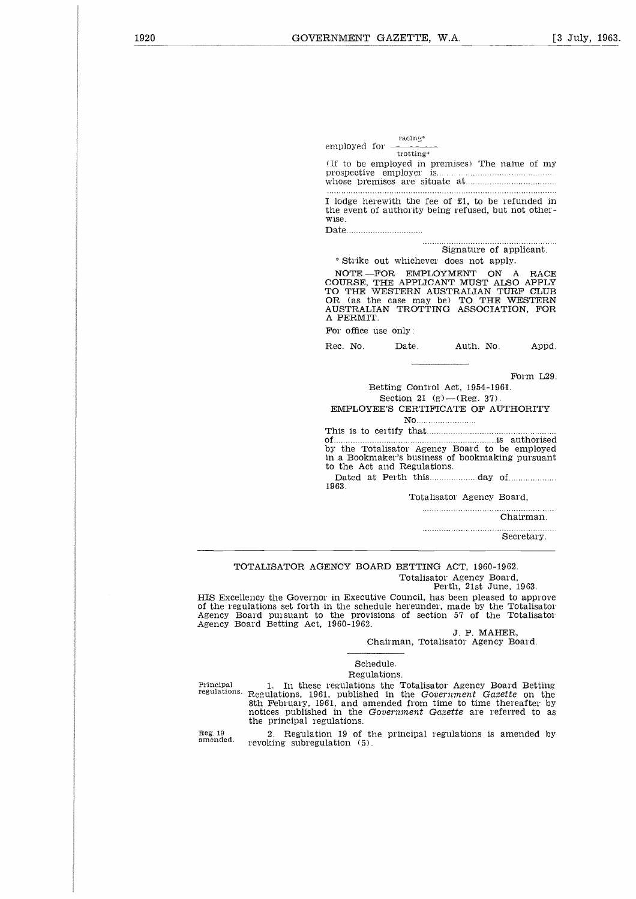|                      | VERNMENT GAZETTE, W.A.      |                                                                                                                                                                                                 | Г3.       |
|----------------------|-----------------------------|-------------------------------------------------------------------------------------------------------------------------------------------------------------------------------------------------|-----------|
|                      |                             |                                                                                                                                                                                                 |           |
|                      |                             |                                                                                                                                                                                                 |           |
|                      |                             |                                                                                                                                                                                                 |           |
|                      |                             |                                                                                                                                                                                                 |           |
|                      |                             |                                                                                                                                                                                                 |           |
|                      | racing*                     |                                                                                                                                                                                                 |           |
| employed for $=$     | trotting*                   |                                                                                                                                                                                                 |           |
|                      |                             | whose premises are situate at manuscritically                                                                                                                                                   |           |
|                      |                             |                                                                                                                                                                                                 |           |
| Wise.                |                             | I lodge herewith the fee of £1, to be refunded in<br>the event of authority being refused, but not other-                                                                                       |           |
|                      |                             |                                                                                                                                                                                                 |           |
|                      |                             | Signature of applicant.                                                                                                                                                                         |           |
|                      |                             | * Strike out whichever does not apply.                                                                                                                                                          |           |
| A PERMIT.            |                             | NOTE-FOR EMPLOYMENT ON A RACE<br>COURSE, THE APPLICANT MUST ALSO APPLY<br>TO THE WESTERN AUSTRALIAN TURF CLUB<br>OR (as the case may be) TO THE WESTERN<br>AUSTRALIAN TROTTING ASSOCIATION, FOR |           |
| For office use only: |                             |                                                                                                                                                                                                 |           |
| Rec. No.             | Date.                       | Auth. No.                                                                                                                                                                                       | Appd.     |
|                      |                             |                                                                                                                                                                                                 |           |
|                      |                             |                                                                                                                                                                                                 | Form L29. |
|                      |                             | Betting Control Act, 1954-1961.                                                                                                                                                                 |           |
|                      |                             | Section 21 (g) $-(Reg. 37)$ .                                                                                                                                                                   |           |
|                      |                             | EMPLOYEE'S CERTIFICATE OF AUTHORITY                                                                                                                                                             |           |
|                      |                             |                                                                                                                                                                                                 |           |
|                      |                             |                                                                                                                                                                                                 |           |
|                      |                             | by the Totalisator Agency Board to be employed<br>in a Bookmaker's business of bookmaking pursuant                                                                                              |           |
|                      | to the Act and Regulations. | Dated at Perth thisday of                                                                                                                                                                       |           |
| 1963.                |                             |                                                                                                                                                                                                 |           |
|                      |                             | Totalisator Agency Board.                                                                                                                                                                       |           |
|                      |                             |                                                                                                                                                                                                 | Chairman. |

..............................  $\sim$   $\sim$ 

Secretary.

TOTALISATOR AGENCY BOARD BETTING ACT, 1960-1962. Totalisator Agency Board,

Perth, 21st June, 1963.

HIS Excellency the Governor in Executive Council, has been pleased to approve of the regulations set forth in the schedule hereunder, made by the Totalisator Agency Board pursuant to the provisions of section 57 of the Totalisator Agency Board Betting Act, 1960-1962.

J. P. MAHER,

Chairman, Totalisator Agency Board.

#### Schedule.

#### Regulations.

Principal regulations.

1. In these regulations the Totalisator Agency Board Betting Regulations, 1961, published in the *Government Gazette* on the 8th February, 1961, and amended from time to time thereafter by notices published in the *Government Gazette* are referred to as the principal regulations.

Reg. 19 amended.

2. Regulation 19 of the principal regulations is amended by revoking subregulation (5).